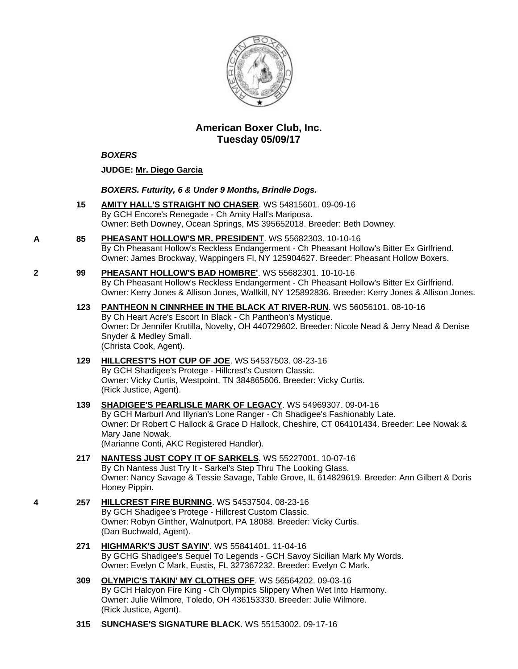

# **American Boxer Club, Inc. Tuesday 05/09/17**

### *BOXERS*

### **JUDGE: [Mr. Diego Garcia](http://infodog.com/show/judge/jdgprofile.htm?jn=50737)**

#### *BOXERS. Futurity, 6 & Under 9 Months, Brindle Dogs.*

- **15 [AMITY HALL'S STRAIGHT NO CHASER](http://infodog.com/my/drlookup2.htm?makc=WS%2054815601&mdog=Amity+Hall%27s+Straight+No+Chaser&wins=all)**. WS 54815601. 09-09-16 By GCH Encore's Renegade - Ch Amity Hall's Mariposa. Owner: Beth Downey, Ocean Springs, MS 395652018. Breeder: Beth Downey.
- **A 85 [PHEASANT HOLLOW'S MR. PRESIDENT](http://infodog.com/my/drlookup2.htm?makc=WS%2055682303&mdog=Pheasant+Hollow%27s+Mr.+President&wins=all)**. WS 55682303. 10-10-16 By Ch Pheasant Hollow's Reckless Endangerment - Ch Pheasant Hollow's Bitter Ex Girlfriend. Owner: James Brockway, Wappingers Fl, NY 125904627. Breeder: Pheasant Hollow Boxers.
- **2 99 [PHEASANT HOLLOW'S BAD HOMBRE'](http://infodog.com/my/drlookup2.htm?makc=WS%2055682301&mdog=Pheasant+Hollow%27s+Bad+Hombre%27&wins=all)**. WS 55682301. 10-10-16 By Ch Pheasant Hollow's Reckless Endangerment - Ch Pheasant Hollow's Bitter Ex Girlfriend. Owner: Kerry Jones & Allison Jones, Wallkill, NY 125892836. Breeder: Kerry Jones & Allison Jones.
	- **123 [PANTHEON N CINNRHEE IN THE BLACK AT RIVER-RUN](http://infodog.com/my/drlookup2.htm?makc=WS%2056056101&mdog=Pantheon+N+CinnRhee+In+The+Black+At+River-Run&wins=all)**. WS 56056101. 08-10-16 By Ch Heart Acre's Escort In Black - Ch Pantheon's Mystique. Owner: Dr Jennifer Krutilla, Novelty, OH 440729602. Breeder: Nicole Nead & Jerry Nead & Denise Snyder & Medley Small. (Christa Cook, Agent).
	- **129 [HILLCREST'S HOT CUP OF JOE](http://infodog.com/my/drlookup2.htm?makc=WS%2054537503&mdog=Hillcrest%27s+Hot+Cup+Of+Joe&wins=all)**. WS 54537503. 08-23-16 By GCH Shadigee's Protege - Hillcrest's Custom Classic. Owner: Vicky Curtis, Westpoint, TN 384865606. Breeder: Vicky Curtis. (Rick Justice, Agent).

#### **139 [SHADIGEE'S PEARLISLE MARK](http://infodog.com/my/drlookup2.htm?makc=WS%2054969307&mdog=Shadigee%27s+Pearlisle+Mark+Of+Legacy&wins=all) OF LEGACY**. WS 54969307. 09-04-16 By GCH Marburl And Illyrian's Lone Ranger - Ch Shadigee's Fashionably Late. Owner: Dr Robert C Hallock & Grace D Hallock, Cheshire, CT 064101434. Breeder: Lee Nowak & Mary Jane Nowak. (Marianne Conti, AKC Registered Handler).

- **217 [NANTESS JUST COPY IT OF SARKELS](http://infodog.com/my/drlookup2.htm?makc=WS%2055227001&mdog=Nantess+Just+Copy+It+Of+Sarkels&wins=all)**. WS 55227001. 10-07-16 By Ch Nantess Just Try It - Sarkel's Step Thru The Looking Glass. Owner: Nancy Savage & Tessie Savage, Table Grove, IL 614829619. Breeder: Ann Gilbert & Doris Honey Pippin.
- **4 257 [HILLCREST FIRE BURNING](http://infodog.com/my/drlookup2.htm?makc=WS%2054537504&mdog=Hillcrest+Fire+Burning&wins=all)**. WS 54537504. 08-23-16 By GCH Shadigee's Protege - Hillcrest Custom Classic. Owner: Robyn Ginther, Walnutport, PA 18088. Breeder: Vicky Curtis. (Dan Buchwald, Agent).
	- **271 [HIGHMARK'S JUST SAYIN'](http://infodog.com/my/drlookup2.htm?makc=WS%2055841401&mdog=Highmark%27s+Just+Sayin%27&wins=all)**. WS 55841401. 11-04-16 By GCHG Shadigee's Sequel To Legends - GCH Savoy Sicilian Mark My Words. Owner: Evelyn C Mark, Eustis, FL 327367232. Breeder: Evelyn C Mark.
	- **309 [OLYMPIC'S TAKIN' MY CLOTHES OFF](http://infodog.com/my/drlookup2.htm?makc=WS%2056564202&mdog=Olympic%27s+Takin%27+My+Clothes+Off&wins=all)**. WS 56564202. 09-03-16 By GCH Halcyon Fire King - Ch Olympics Slippery When Wet Into Harmony. Owner: Julie Wilmore, Toledo, OH 436153330. Breeder: Julie Wilmore. (Rick Justice, Agent).
	- **315 [SUNCHASE'S SIGNATURE BLACK](http://infodog.com/my/drlookup2.htm?makc=WS%2055153002&mdog=Sunchase%27s+Signature+Black&wins=all)**. WS 55153002. 09-17-16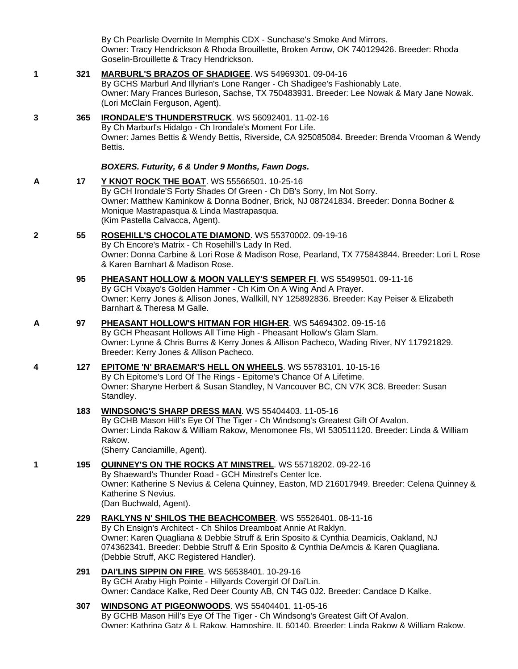By Ch Pearlisle Overnite In Memphis CDX - Sunchase's Smoke And Mirrors. Owner: Tracy Hendrickson & Rhoda Brouillette, Broken Arrow, OK 740129426. Breeder: Rhoda Goselin-Brouillette & Tracy Hendrickson.

**1 321 [MARBURL'S BRAZOS OF SHADIGEE](http://infodog.com/my/drlookup2.htm?makc=WS%2054969301&mdog=Marburl%27s+Brazos+Of+Shadigee&wins=all)**. WS 54969301. 09-04-16 By GCHS Marburl And Illyrian's Lone Ranger - Ch Shadigee's Fashionably Late. Owner: Mary Frances Burleson, Sachse, TX 750483931. Breeder: Lee Nowak & Mary Jane Nowak. (Lori McClain Ferguson, Agent). **3 365 [IRONDALE'S THUNDERSTRUCK](http://infodog.com/my/drlookup2.htm?makc=WS%2056092401&mdog=Irondale%27s+Thunderstruck&wins=all)**. WS 56092401. 11-02-16 By Ch Marburl's Hidalgo - Ch Irondale's Moment For Life. Owner: James Bettis & Wendy Bettis, Riverside, CA 925085084. Breeder: Brenda Vrooman & Wendy Bettis. *BOXERS. Futurity, 6 & Under 9 Months, Fawn Dogs.* **A 17 [Y KNOT ROCK THE BOAT](http://infodog.com/my/drlookup2.htm?makc=WS%2055566501&mdog=Y+Knot+Rock+The+Boat&wins=all)**. WS 55566501. 10-25-16 By GCH Irondale'S Forty Shades Of Green - Ch DB's Sorry, Im Not Sorry. Owner: Matthew Kaminkow & Donna Bodner, Brick, NJ 087241834. Breeder: Donna Bodner & Monique Mastrapasqua & Linda Mastrapasqua. (Kim Pastella Calvacca, Agent). **2 55 [ROSEHILL'S CHOCOLATE DIAMOND](http://infodog.com/my/drlookup2.htm?makc=WS%2055370002&mdog=Rosehill%27s+Chocolate+Diamond&wins=all)**. WS 55370002. 09-19-16 By Ch Encore's Matrix - Ch Rosehill's Lady In Red. Owner: Donna Carbine & Lori Rose & Madison Rose, Pearland, TX 775843844. Breeder: Lori L Rose & Karen Barnhart & Madison Rose. **95 [PHEASANT HOLLOW & MOON VALLEY'S SEMPER FI](http://infodog.com/my/drlookup2.htm?makc=WS%2055499501&mdog=Pheasant+Hollow+&+Moon+Valley%27s+Semper+Fi&wins=all)**. WS 55499501. 09-11-16 By GCH Vixayo's Golden Hammer - Ch Kim On A Wing And A Prayer. Owner: Kerry Jones & Allison Jones, Wallkill, NY 125892836. Breeder: Kay Peiser & Elizabeth Barnhart & Theresa M Galle. **A 97 [PHEASANT HOLLOW'S HITMAN FOR HIGH-ER](http://infodog.com/my/drlookup2.htm?makc=WS%2054694302&mdog=Pheasant+Hollow%27s+Hitman+For+High-Er&wins=all)**. WS 54694302. 09-15-16 By GCH Pheasant Hollows All Time High - Pheasant Hollow's Glam Slam. Owner: Lynne & Chris Burns & Kerry Jones & Allison Pacheco, Wading River, NY 117921829. Breeder: Kerry Jones & Allison Pacheco. **4 127 [EPITOME 'N' BRAEMAR'S HELL ON WHEELS](http://infodog.com/my/drlookup2.htm?makc=WS%2055783101&mdog=Epitome+%27N%27+Braemar%27s+Hell+On+Wheels&wins=all)**. WS 55783101. 10-15-16 By Ch Epitome's Lord Of The Rings - Epitome's Chance Of A Lifetime. Owner: Sharyne Herbert & Susan Standley, N Vancouver BC, CN V7K 3C8. Breeder: Susan Standley. **183 [WINDSONG'S SHARP DRESS MAN](http://infodog.com/my/drlookup2.htm?makc=WS%2055404403&mdog=Windsong%27s+Sharp+Dress+Man&wins=all)**. WS 55404403. 11-05-16 By GCHB Mason Hill's Eye Of The Tiger - Ch Windsong's Greatest Gift Of Avalon. Owner: Linda Rakow & William Rakow, Menomonee Fls, WI 530511120. Breeder: Linda & William Rakow. (Sherry Canciamille, Agent). **1 195 [QUINNEY'S ON THE ROCKS AT MINSTREL](http://infodog.com/my/drlookup2.htm?makc=WS%2055718202&mdog=Quinney%27s+On+The+Rocks+At+Minstrel&wins=all)**. WS 55718202. 09-22-16 By Shaeward's Thunder Road - GCH Minstrel's Center Ice. Owner: Katherine S Nevius & Celena Quinney, Easton, MD 216017949. Breeder: Celena Quinney & Katherine S Nevius. (Dan Buchwald, Agent). **229 [RAKLYNS N' SHILOS THE BEACHCOMBER](http://infodog.com/my/drlookup2.htm?makc=WS%2055526401&mdog=Raklyns+N%27+Shilos+The+Beachcomber&wins=all)**. WS 55526401. 08-11-16 By Ch Ensign's Architect - Ch Shilos Dreamboat Annie At Raklyn. Owner: Karen Quagliana & Debbie Struff & Erin Sposito & Cynthia Deamicis, Oakland, NJ 074362341. Breeder: Debbie Struff & Erin Sposito & Cynthia DeAmcis & Karen Quagliana. (Debbie Struff, AKC Registered Handler). **291 [DAI'LINS SIPPIN ON FIRE](http://infodog.com/my/drlookup2.htm?makc=WS%2056538401&mdog=Dai%27Lins+Sippin+On+Fire&wins=all)**. WS 56538401. 10-29-16 By GCH Araby High Pointe - Hillyards Covergirl Of Dai'Lin. Owner: Candace Kalke, Red Deer County AB, CN T4G 0J2. Breeder: Candace D Kalke. **307 [WINDSONG AT PIGEONWOODS](http://infodog.com/my/drlookup2.htm?makc=WS%2055404401&mdog=Windsong+At+Pigeonwoods&wins=all)**. WS 55404401. 11-05-16 By GCHB Mason Hill's Eye Of The Tiger - Ch Windsong's Greatest Gift Of Avalon. Owner: Kathrina Gatz & L Rakow, Hampshire, IL 60140. Breeder: Linda Rakow & William Rakow.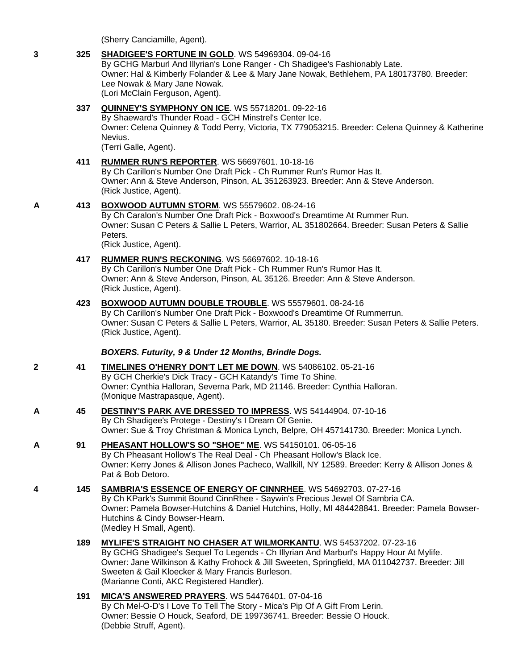(Sherry Canciamille, Agent).

# **3 325 [SHADIGEE'S FORTUNE IN GOLD](http://infodog.com/my/drlookup2.htm?makc=WS%2054969304&mdog=Shadigee%27s+Fortune+In+Gold&wins=all)**. WS 54969304. 09-04-16

By GCHG Marburl And Illyrian's Lone Ranger - Ch Shadigee's Fashionably Late. Owner: Hal & Kimberly Folander & Lee & Mary Jane Nowak, Bethlehem, PA 180173780. Breeder: Lee Nowak & Mary Jane Nowak. (Lori McClain Ferguson, Agent).

# **337 [QUINNEY'S SYMPHONY ON ICE](http://infodog.com/my/drlookup2.htm?makc=WS%2055718201&mdog=Quinney%27s+Symphony+On+Ice&wins=all)**. WS 55718201. 09-22-16

By Shaeward's Thunder Road - GCH Minstrel's Center Ice. Owner: Celena Quinney & Todd Perry, Victoria, TX 779053215. Breeder: Celena Quinney & Katherine Nevius.

(Terri Galle, Agent).

### **411 [RUMMER RUN'S REPORTER](http://infodog.com/my/drlookup2.htm?makc=WS%2056697601&mdog=Rummer+Run%27s+Reporter&wins=all)**. WS 56697601. 10-18-16

By Ch Carillon's Number One Draft Pick - Ch Rummer Run's Rumor Has It. Owner: Ann & Steve Anderson, Pinson, AL 351263923. Breeder: Ann & Steve Anderson. (Rick Justice, Agent).

### **A 413 [BOXWOOD AUTUMN STORM](http://infodog.com/my/drlookup2.htm?makc=WS%2055579602&mdog=Boxwood+Autumn+Storm&wins=all)**. WS 55579602. 08-24-16

By Ch Caralon's Number One Draft Pick - Boxwood's Dreamtime At Rummer Run. Owner: Susan C Peters & Sallie L Peters, Warrior, AL 351802664. Breeder: Susan Peters & Sallie Peters.

(Rick Justice, Agent).

# **417 [RUMMER RUN'S RECKONING](http://infodog.com/my/drlookup2.htm?makc=WS%2056697602&mdog=Rummer+Run%27s+Reckoning&wins=all)**. WS 56697602. 10-18-16

By Ch Carillon's Number One Draft Pick - Ch Rummer Run's Rumor Has It. Owner: Ann & Steve Anderson, Pinson, AL 35126. Breeder: Ann & Steve Anderson. (Rick Justice, Agent).

# **423 [BOXWOOD AUTUMN DOUBLE TROUBLE](http://infodog.com/my/drlookup2.htm?makc=WS%2055579601&mdog=Boxwood+Autumn+Double+Trouble&wins=all)**. WS 55579601. 08-24-16

By Ch Carillon's Number One Draft Pick - Boxwood's Dreamtime Of Rummerrun. Owner: Susan C Peters & Sallie L Peters, Warrior, AL 35180. Breeder: Susan Peters & Sallie Peters. (Rick Justice, Agent).

### *BOXERS. Futurity, 9 & Under 12 Months, Brindle Dogs.*

**2 41 [TIMELINES O'HENRY DON'T LET ME DOWN](http://infodog.com/my/drlookup2.htm?makc=WS%2054086102&mdog=Timelines+O%27henry+Don%27t+Let+Me+Down&wins=all)**. WS 54086102. 05-21-16 By GCH Cherkie's Dick Tracy - GCH Katandy's Time To Shine. Owner: Cynthia Halloran, Severna Park, MD 21146. Breeder: Cynthia Halloran. (Monique Mastrapasque, Agent).

#### **A 45 [DESTINY'S PARK AVE DRESSED TO IMPRESS](http://infodog.com/my/drlookup2.htm?makc=WS%2054144904&mdog=Destiny%27s+Park+Ave+Dressed+To+Impress&wins=all)**. WS 54144904. 07-10-16 By Ch Shadigee's Protege - Destiny's I Dream Of Genie. Owner: Sue & Troy Christman & Monica Lynch, Belpre, OH 457141730. Breeder: Monica Lynch.

# **A 91 [PHEASANT HOLLOW'S SO "SHOE" ME](http://infodog.com/my/drlookup2.htm?makc=WS%2054150101&mdog=Pheasant+Hollow%27s+So+%22Shoe%22+Me&wins=all)**. WS 54150101. 06-05-16

By Ch Pheasant Hollow's The Real Deal - Ch Pheasant Hollow's Black Ice. Owner: Kerry Jones & Allison Jones Pacheco, Wallkill, NY 12589. Breeder: Kerry & Allison Jones & Pat & Bob Detoro.

### **4 145 [SAMBRIA'S ESSENCE OF ENERGY OF CINNRHEE](http://infodog.com/my/drlookup2.htm?makc=WS%2054692703&mdog=Sambria%27s+Essence+Of+Energy+Of+CinnRhee&wins=all)**. WS 54692703. 07-27-16 By Ch KPark's Summit Bound CinnRhee - Saywin's Precious Jewel Of Sambria CA. Owner: Pamela Bowser-Hutchins & Daniel Hutchins, Holly, MI 484428841. Breeder: Pamela Bowser-Hutchins & Cindy Bowser-Hearn. (Medley H Small, Agent).

- **189 [MYLIFE'S STRAIGHT NO CHASER AT WILMORKANTU](http://infodog.com/my/drlookup2.htm?makc=WS%2054537202&mdog=Mylife%27s+Straight+No+Chaser+At+Wilmorkantu&wins=all)**. WS 54537202. 07-23-16 By GCHG Shadigee's Sequel To Legends - Ch Illyrian And Marburl's Happy Hour At Mylife. Owner: Jane Wilkinson & Kathy Frohock & Jill Sweeten, Springfield, MA 011042737. Breeder: Jill Sweeten & Gail Kloecker & Mary Francis Burleson. (Marianne Conti, AKC Registered Handler).
- **191 [MICA'S ANSWERED PRAYERS](http://infodog.com/my/drlookup2.htm?makc=WS%2054476401&mdog=Mica%27s+Answered+Prayers&wins=all)**. WS 54476401. 07-04-16 By Ch Mel-O-D's I Love To Tell The Story - Mica's Pip Of A Gift From Lerin. Owner: Bessie O Houck, Seaford, DE 199736741. Breeder: Bessie O Houck. (Debbie Struff, Agent).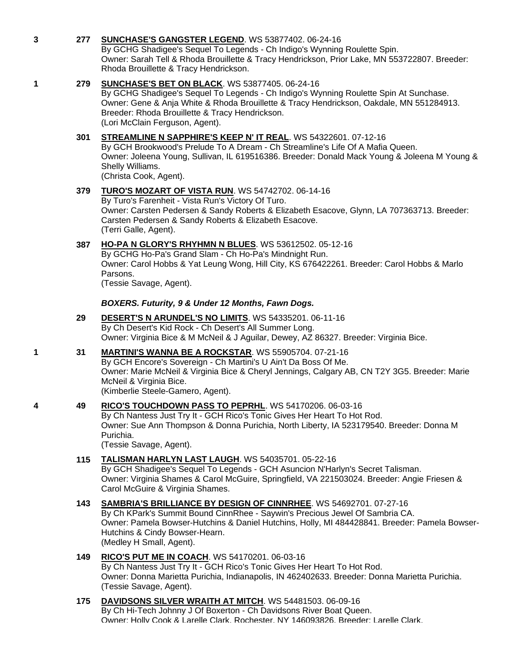# **3 277 [SUNCHASE'S GANGSTER LEGEND](http://infodog.com/my/drlookup2.htm?makc=WS%2053877402&mdog=Sunchase%27s+Gangster+Legend&wins=all)**. WS 53877402. 06-24-16

By GCHG Shadigee's Sequel To Legends - Ch Indigo's Wynning Roulette Spin. Owner: Sarah Tell & Rhoda Brouillette & Tracy Hendrickson, Prior Lake, MN 553722807. Breeder: Rhoda Brouillette & Tracy Hendrickson.

## **1 279 [SUNCHASE'S BET ON BLACK](http://infodog.com/my/drlookup2.htm?makc=WS%2053877405&mdog=Sunchase%27s+Bet+On+Black&wins=all)**. WS 53877405. 06-24-16

By GCHG Shadigee's Sequel To Legends - Ch Indigo's Wynning Roulette Spin At Sunchase. Owner: Gene & Anja White & Rhoda Brouillette & Tracy Hendrickson, Oakdale, MN 551284913. Breeder: Rhoda Brouillette & Tracy Hendrickson. (Lori McClain Ferguson, Agent).

### **301 [STREAMLINE N SAPPHIRE'S KEEP N' IT REAL](http://infodog.com/my/drlookup2.htm?makc=WS%2054322601&mdog=Streamline+N+Sapphire%27s+Keep+N%27+It+Real&wins=all)**. WS 54322601. 07-12-16

By GCH Brookwood's Prelude To A Dream - Ch Streamline's Life Of A Mafia Queen. Owner: Joleena Young, Sullivan, IL 619516386. Breeder: Donald Mack Young & Joleena M Young & Shelly Williams.

(Christa Cook, Agent).

# **379 [TURO'S MOZART OF VISTA RUN](http://infodog.com/my/drlookup2.htm?makc=WS%2054742702&mdog=Turo%27s+Mozart+Of+Vista+Run&wins=all)**. WS 54742702. 06-14-16

By Turo's Farenheit - Vista Run's Victory Of Turo. Owner: Carsten Pedersen & Sandy Roberts & Elizabeth Esacove, Glynn, LA 707363713. Breeder: Carsten Pedersen & Sandy Roberts & Elizabeth Esacove. (Terri Galle, Agent).

# **387 [HO-PA N GLORY'S RHYHMN N BLUES](http://infodog.com/my/drlookup2.htm?makc=WS%2053612502&mdog=Ho-Pa+N+Glory%27s+Rhyhmn+N+Blues&wins=all)**. WS 53612502. 05-12-16

By GCHG Ho-Pa's Grand Slam - Ch Ho-Pa's Mindnight Run. Owner: Carol Hobbs & Yat Leung Wong, Hill City, KS 676422261. Breeder: Carol Hobbs & Marlo Parsons.

(Tessie Savage, Agent).

### *BOXERS. Futurity, 9 & Under 12 Months, Fawn Dogs.*

- **29 [DESERT'S N ARUNDEL'S NO LIMITS](http://infodog.com/my/drlookup2.htm?makc=WS%2054335201&mdog=Desert%27s+N+Arundel%27s+No+Limits&wins=all)**. WS 54335201. 06-11-16 By Ch Desert's Kid Rock - Ch Desert's All Summer Long. Owner: Virginia Bice & M McNeil & J Aguilar, Dewey, AZ 86327. Breeder: Virginia Bice.
- **1 31 [MARTINI'S WANNA BE A ROCKSTAR](http://infodog.com/my/drlookup2.htm?makc=WS%2055905704&mdog=Martini%27s+Wanna+Be+A+Rockstar&wins=all)**. WS 55905704. 07-21-16 By GCH Encore's Sovereign - Ch Martini's U Ain't Da Boss Of Me. Owner: Marie McNeil & Virginia Bice & Cheryl Jennings, Calgary AB, CN T2Y 3G5. Breeder: Marie McNeil & Virginia Bice. (Kimberlie Steele-Gamero, Agent).

### **4 49 [RICO'S TOUCHDOWN PASS TO PEPRHL](http://infodog.com/my/drlookup2.htm?makc=WS%2054170206&mdog=Rico%27s+Touchdown+Pass+To+Peprhl&wins=all)**. WS 54170206. 06-03-16

By Ch Nantess Just Try It - GCH Rico's Tonic Gives Her Heart To Hot Rod. Owner: Sue Ann Thompson & Donna Purichia, North Liberty, IA 523179540. Breeder: Donna M Purichia.

(Tessie Savage, Agent).

### **115 [TALISMAN HARLYN LAST LAUGH](http://infodog.com/my/drlookup2.htm?makc=WS%2054035701&mdog=Talisman+Harlyn+Last+Laugh&wins=all)**. WS 54035701. 05-22-16

By GCH Shadigee's Sequel To Legends - GCH Asuncion N'Harlyn's Secret Talisman. Owner: Virginia Shames & Carol McGuire, Springfield, VA 221503024. Breeder: Angie Friesen & Carol McGuire & Virginia Shames.

# **143 [SAMBRIA'S BRILLIANCE BY DESIGN OF CINNRHEE](http://infodog.com/my/drlookup2.htm?makc=WS%2054692701&mdog=Sambria%27s+Brilliance+By+Design+Of+CinnRhee&wins=all)**. WS 54692701. 07-27-16 By Ch KPark's Summit Bound CinnRhee - Saywin's Precious Jewel Of Sambria CA. Owner: Pamela Bowser-Hutchins & Daniel Hutchins, Holly, MI 484428841. Breeder: Pamela Bowser-

Hutchins & Cindy Bowser-Hearn. (Medley H Small, Agent).

# **149 [RICO'S PUT ME IN COACH](http://infodog.com/my/drlookup2.htm?makc=WS%2054170201&mdog=Rico%27s+Put+Me+In+Coach&wins=all)**. WS 54170201. 06-03-16

By Ch Nantess Just Try It - GCH Rico's Tonic Gives Her Heart To Hot Rod. Owner: Donna Marietta Purichia, Indianapolis, IN 462402633. Breeder: Donna Marietta Purichia. (Tessie Savage, Agent).

#### **175 [DAVIDSONS SILVER WRAITH AT MITCH](http://infodog.com/my/drlookup2.htm?makc=WS%2054481503&mdog=Davidsons+Silver+Wraith+At+Mitch&wins=all)**. WS 54481503. 06-09-16 By Ch Hi-Tech Johnny J Of Boxerton - Ch Davidsons River Boat Queen. Owner: Holly Cook & Larelle Clark, Rochester, NY 146093826. Breeder: Larelle Clark.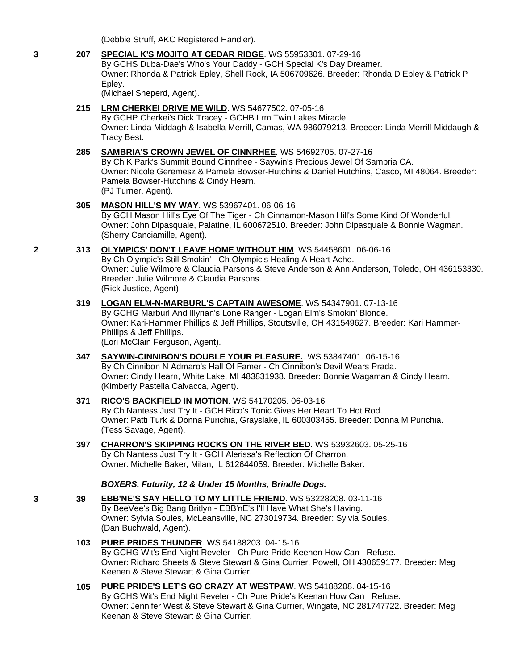(Debbie Struff, AKC Registered Handler).

# **3 207 [SPECIAL K'S MOJITO AT CEDAR RIDGE](http://infodog.com/my/drlookup2.htm?makc=WS%2055953301&mdog=Special+K%27s+Mojito+At+Cedar+Ridge&wins=all)**. WS 55953301. 07-29-16

By GCHS Duba-Dae's Who's Your Daddy - GCH Special K's Day Dreamer. Owner: Rhonda & Patrick Epley, Shell Rock, IA 506709626. Breeder: Rhonda D Epley & Patrick P Epley.

(Michael Sheperd, Agent).

## **215 [LRM CHERKEI DRIVE ME WILD](http://infodog.com/my/drlookup2.htm?makc=WS%2054677502&mdog=Lrm+Cherkei+Drive+Me+Wild&wins=all)**. WS 54677502. 07-05-16

By GCHP Cherkei's Dick Tracey - GCHB Lrm Twin Lakes Miracle. Owner: Linda Middagh & Isabella Merrill, Camas, WA 986079213. Breeder: Linda Merrill-Middaugh & Tracy Best.

#### **285 [SAMBRIA'S CROWN JEWEL OF CINNRHEE](http://infodog.com/my/drlookup2.htm?makc=WS%2054692705&mdog=Sambria%27s+Crown+Jewel+Of+Cinnrhee&wins=all)**. WS 54692705. 07-27-16

By Ch K Park's Summit Bound Cinnrhee - Saywin's Precious Jewel Of Sambria CA. Owner: Nicole Geremesz & Pamela Bowser-Hutchins & Daniel Hutchins, Casco, MI 48064. Breeder: Pamela Bowser-Hutchins & Cindy Hearn. (PJ Turner, Agent).

### **305 [MASON HILL'S MY WAY](http://infodog.com/my/drlookup2.htm?makc=WS%2053967401&mdog=Mason+Hill%27s+My+Way&wins=all)**. WS 53967401. 06-06-16

By GCH Mason Hill's Eye Of The Tiger - Ch Cinnamon-Mason Hill's Some Kind Of Wonderful. Owner: John Dipasquale, Palatine, IL 600672510. Breeder: John Dipasquale & Bonnie Wagman. (Sherry Canciamille, Agent).

# **2 313 [OLYMPICS' DON'T LEAVE HOME WITHOUT HIM](http://infodog.com/my/drlookup2.htm?makc=WS%2054458601&mdog=Olympics%27+Don%27t+Leave+Home+Without+Him&wins=all)**. WS 54458601. 06-06-16

By Ch Olympic's Still Smokin' - Ch Olympic's Healing A Heart Ache. Owner: Julie Wilmore & Claudia Parsons & Steve Anderson & Ann Anderson, Toledo, OH 436153330. Breeder: Julie Wilmore & Claudia Parsons. (Rick Justice, Agent).

#### **319 [LOGAN ELM-N-MARBURL'S CAPTAIN AWESOME](http://infodog.com/my/drlookup2.htm?makc=WS%2054347901&mdog=Logan+Elm-N-Marburl%27s+Captain+Awesome&wins=all)**. WS 54347901. 07-13-16 By GCHG Marburl And Illyrian's Lone Ranger - Logan Elm's Smokin' Blonde.

Owner: Kari-Hammer Phillips & Jeff Phillips, Stoutsville, OH 431549627. Breeder: Kari Hammer-Phillips & Jeff Phillips.

(Lori McClain Ferguson, Agent).

**347 [SAYWIN-CINNIBON'S DOUBLE YOUR PLEASURE.](http://infodog.com/my/drlookup2.htm?makc=WS%2053847401&mdog=Saywin-Cinnibon%27s+Double+Your+Pleasure.&wins=all)**. WS 53847401. 06-15-16 By Ch Cinnibon N Admaro's Hall Of Famer - Ch Cinnibon's Devil Wears Prada. Owner: Cindy Hearn, White Lake, MI 483831938. Breeder: Bonnie Wagaman & Cindy Hearn. (Kimberly Pastella Calvacca, Agent).

#### **371 [RICO'S BACKFIELD IN MOTION](http://infodog.com/my/drlookup2.htm?makc=WS%2054170205&mdog=Rico%27s+Backfield+In+Motion&wins=all)**. WS 54170205. 06-03-16 By Ch Nantess Just Try It - GCH Rico's Tonic Gives Her Heart To Hot Rod. Owner: Patti Turk & Donna Purichia, Grayslake, IL 600303455. Breeder: Donna M Purichia. (Tess Savage, Agent).

**397 [CHARRON'S SKIPPING ROCKS ON THE RIVER BED](http://infodog.com/my/drlookup2.htm?makc=WS%2053932603&mdog=Charron%27s+Skipping+Rocks+On+The+River+Bed&wins=all)**. WS 53932603. 05-25-16 By Ch Nantess Just Try It - GCH Alerissa's Reflection Of Charron. Owner: Michelle Baker, Milan, IL 612644059. Breeder: Michelle Baker.

### *BOXERS. Futurity, 12 & Under 15 Months, Brindle Dogs.*

- **3 39 [EBB'NE'S SAY HELLO TO MY LITTLE FRIEND](http://infodog.com/my/drlookup2.htm?makc=WS%2053228208&mdog=EBB%27nE%27s+Say+Hello+To+My+Little+Friend&wins=all)**. WS 53228208. 03-11-16 By BeeVee's Big Bang Britlyn - EBB'nE's I'll Have What She's Having. Owner: Sylvia Soules, McLeansville, NC 273019734. Breeder: Sylvia Soules. (Dan Buchwald, Agent).
	- **103 [PURE PRIDES THUNDER](http://infodog.com/my/drlookup2.htm?makc=WS%2054188203&mdog=Pure+Prides+Thunder&wins=all)**. WS 54188203. 04-15-16 By GCHG Wit's End Night Reveler - Ch Pure Pride Keenen How Can I Refuse. Owner: Richard Sheets & Steve Stewart & Gina Currier, Powell, OH 430659177. Breeder: Meg Keenen & Steve Stewart & Gina Currier.

#### **105 [PURE PRIDE'S LET'S GO CRAZY AT WESTPAW](http://infodog.com/my/drlookup2.htm?makc=WS%2054188208&mdog=Pure+Pride%27s+Let%27s+Go+Crazy+At+Westpaw&wins=all)**. WS 54188208. 04-15-16 By GCHS Wit's End Night Reveler - Ch Pure Pride's Keenan How Can I Refuse. Owner: Jennifer West & Steve Stewart & Gina Currier, Wingate, NC 281747722. Breeder: Meg Keenan & Steve Stewart & Gina Currier.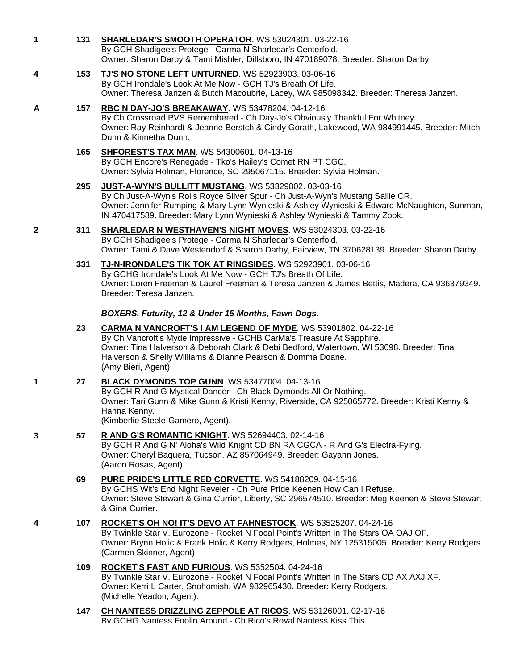|   |     | By GCH Shadigee's Protege - Carma N Sharledar's Centerfold.<br>Owner: Sharon Darby & Tami Mishler, Dillsboro, IN 470189078. Breeder: Sharon Darby.                                                                                                                                                                        |
|---|-----|---------------------------------------------------------------------------------------------------------------------------------------------------------------------------------------------------------------------------------------------------------------------------------------------------------------------------|
| 4 | 153 | TJ'S NO STONE LEFT UNTURNED. WS 52923903. 03-06-16<br>By GCH Irondale's Look At Me Now - GCH TJ's Breath Of Life.<br>Owner: Theresa Janzen & Butch Macoubrie, Lacey, WA 985098342. Breeder: Theresa Janzen.                                                                                                               |
| A | 157 | RBC N DAY-JO'S BREAKAWAY. WS 53478204. 04-12-16<br>By Ch Crossroad PVS Remembered - Ch Day-Jo's Obviously Thankful For Whitney.<br>Owner: Ray Reinhardt & Jeanne Berstch & Cindy Gorath, Lakewood, WA 984991445. Breeder: Mitch<br>Dunn & Kinnetha Dunn.                                                                  |
|   | 165 | <b>SHFOREST'S TAX MAN. WS 54300601. 04-13-16</b><br>By GCH Encore's Renegade - Tko's Hailey's Comet RN PT CGC.<br>Owner: Sylvia Holman, Florence, SC 295067115. Breeder: Sylvia Holman.                                                                                                                                   |
|   | 295 | <b>JUST-A-WYN'S BULLITT MUSTANG. WS 53329802. 03-03-16</b><br>By Ch Just-A-Wyn's Rolls Royce Silver Spur - Ch Just-A-Wyn's Mustang Sallie CR.<br>Owner: Jennifer Rumping & Mary Lynn Wynieski & Ashley Wynieski & Edward McNaughton, Sunman,<br>IN 470417589. Breeder: Mary Lynn Wynieski & Ashley Wynieski & Tammy Zook. |
| 2 | 311 | <b>SHARLEDAR N WESTHAVEN'S NIGHT MOVES. WS 53024303. 03-22-16</b><br>By GCH Shadigee's Protege - Carma N Sharledar's Centerfold.<br>Owner: Tami & Dave Westendorf & Sharon Darby, Fairview, TN 370628139. Breeder: Sharon Darby.                                                                                          |
|   | 331 | TJ-N-IRONDALE'S TIK TOK AT RINGSIDES. WS 52923901. 03-06-16<br>By GCHG Irondale's Look At Me Now - GCH TJ's Breath Of Life.<br>Owner: Loren Freeman & Laurel Freeman & Teresa Janzen & James Bettis, Madera, CA 936379349.<br>Breeder: Teresa Janzen.                                                                     |
|   |     | BOXERS. Futurity, 12 & Under 15 Months, Fawn Dogs.                                                                                                                                                                                                                                                                        |
|   | 23  | CARMA N VANCROFT'S I AM LEGEND OF MYDE. WS 53901802. 04-22-16<br>By Ch Vancroft's Myde Impressive - GCHB CarMa's Treasure At Sapphire.<br>Owner: Tina Halverson & Deborah Clark & Debi Bedford, Watertown, WI 53098. Breeder: Tina<br>Halverson & Shelly Williams & Dianne Pearson & Domma Doane.<br>(Amy Bieri, Agent).  |
| 1 | 27  | BLACK DYMONDS TOP GUNN. WS 53477004. 04-13-16<br>By GCH R And G Mystical Dancer - Ch Black Dymonds All Or Nothing.<br>Owner: Tari Gunn & Mike Gunn & Kristi Kenny, Riverside, CA 925065772. Breeder: Kristi Kenny &<br>Hanna Kenny.<br>(Kimberlie Steele-Gamero, Agent).                                                  |
| 3 | 57  | R AND G'S ROMANTIC KNIGHT. WS 52694403. 02-14-16<br>By GCH R And G N' Aloha's Wild Knight CD BN RA CGCA - R And G's Electra-Fying.<br>Owner: Cheryl Baquera, Tucson, AZ 857064949. Breeder: Gayann Jones.<br>(Aaron Rosas, Agent).                                                                                        |
|   | 69  | <b>PURE PRIDE'S LITTLE RED CORVETTE.</b> WS 54188209. 04-15-16<br>By GCHS Wit's End Night Reveler - Ch Pure Pride Keenen How Can I Refuse.<br>Owner: Steve Stewart & Gina Currier, Liberty, SC 296574510. Breeder: Meg Keenen & Steve Stewart<br>& Gina Currier.                                                          |
| 4 | 107 | ROCKET'S OH NO! IT'S DEVO AT FAHNESTOCK. WS 53525207. 04-24-16<br>By Twinkle Star V. Eurozone - Rocket N Focal Point's Written In The Stars OA OAJ OF.<br>Owner: Brynn Holic & Frank Holic & Kerry Rodgers, Holmes, NY 125315005. Breeder: Kerry Rodgers.<br>(Carmen Skinner, Agent).                                     |
|   | 109 | ROCKET'S FAST AND FURIOUS. WS 5352504. 04-24-16<br>By Twinkle Star V. Eurozone - Rocket N Focal Point's Written In The Stars CD AX AXJ XF.<br>Owner: Kerri L Carter, Snohomish, WA 982965430. Breeder: Kerry Rodgers.<br>(Michelle Yeadon, Agent).                                                                        |
|   | 147 | CH NANTESS DRIZZLING ZEPPOLE AT RICOS. WS 53126001. 02-17-16<br>By GCHG Nantess Foolin Around - Ch Rico's Roval Nantess Kiss This.                                                                                                                                                                                        |
|   |     |                                                                                                                                                                                                                                                                                                                           |

**1 131 [SHARLEDAR'S SMOOTH OPERATOR](http://infodog.com/my/drlookup2.htm?makc=WS%2053024301&mdog=Sharledar%27s+Smooth+Operator&wins=all)**. WS 53024301. 03-22-16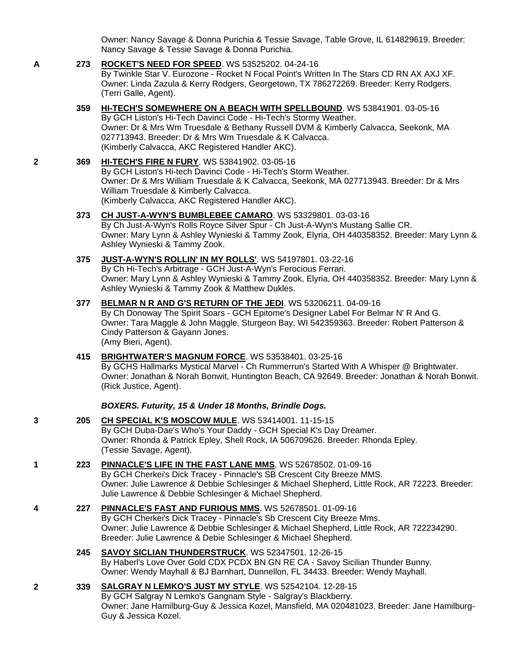Owner: Nancy Savage & Donna Purichia & Tessie Savage, Table Grove, IL 614829619. Breeder: Nancy Savage & Tessie Savage & Donna Purichia.

# **A 273 [ROCKET'S NEED FOR SPEED](http://infodog.com/my/drlookup2.htm?makc=WS%2053525202&mdog=Rocket%27s+Need+For+Speed&wins=all)**. WS 53525202. 04-24-16

By Twinkle Star V. Eurozone - Rocket N Focal Point's Written In The Stars CD RN AX AXJ XF. Owner: Linda Zazula & Kerry Rodgers, Georgetown, TX 786272269. Breeder: Kerry Rodgers. (Terri Galle, Agent).

#### **359 [HI-TECH'S SOMEWHERE ON A BEACH WITH SPELLBOUND](http://infodog.com/my/drlookup2.htm?makc=WS%2053841901&mdog=Hi-Tech%27s+Somewhere+On+A+Beach+With+Spellbound&wins=all)**. WS 53841901. 03-05-16 By GCH Liston's Hi-Tech Davinci Code - Hi-Tech's Stormy Weather. Owner: Dr & Mrs Wm Truesdale & Bethany Russell DVM & Kimberly Calvacca, Seekonk, MA

027713943. Breeder: Dr & Mrs Wm Truesdale & K Calvacca. (Kimberly Calvacca, AKC Registered Handler AKC).

#### **2 369 [HI-TECH'S FIRE N FURY](http://infodog.com/my/drlookup2.htm?makc=WS%2053841902&mdog=Hi-Tech%27s+Fire+N+Fury&wins=all)**. WS 53841902. 03-05-16 By GCH Liston's Hi-tech Davinci Code - Hi-Tech's Storm Weather. Owner: Dr & Mrs William Truesdale & K Calvacca, Seekonk, MA 027713943. Breeder: Dr & Mrs William Truesdale & Kimberly Calvacca.

(Kimberly Calvacca, AKC Registered Handler AKC).

## **373 [CH JUST-A-WYN'S BUMBLEBEE CAMARO](http://infodog.com/my/drlookup2.htm?makc=WS%2053329801&mdog=Ch+Just-A-Wyn%27s+Bumblebee+Camaro&wins=all)**. WS 53329801. 03-03-16 By Ch Just-A-Wyn's Rolls Royce Silver Spur - Ch Just-A-Wyn's Mustang Sallie CR. Owner: Mary Lynn & Ashley Wynieski & Tammy Zook, Elyria, OH 440358352. Breeder: Mary Lynn & Ashley Wynieski & Tammy Zook.

#### **375 [JUST-A-WYN'S ROLLIN' IN MY ROLLS'](http://infodog.com/my/drlookup2.htm?makc=WS%2054197801&mdog=Just-A-Wyn%27s+Rollin%27+In+My+Rolls%27&wins=all)**. WS 54197801. 03-22-16 By Ch Hi-Tech's Arbitrage - GCH Just-A-Wyn's Ferocious Ferrari. Owner: Mary Lynn & Ashley Wynieski & Tammy Zook, Elyria, OH 440358352. Breeder: Mary Lynn & Ashley Wynieski & Tammy Zook & Matthew Dukles.

#### **377 [BELMAR N R AND G'S RETURN OF THE JEDI](http://infodog.com/my/drlookup2.htm?makc=WS%2053206211&mdog=Belmar+N+R+And+G%27s+Return+Of+The+Jedi&wins=all)**. WS 53206211. 04-09-16 By Ch Donoway The Spirit Soars - GCH Epitome's Designer Label For Belmar N' R And G. Owner: Tara Maggle & John Maggle, Sturgeon Bay, WI 542359363. Breeder: Robert Patterson & Cindy Patterson & Gayann Jones. (Amy Bieri, Agent).

#### **415 [BRIGHTWATER'S MAGNUM FORCE](http://infodog.com/my/drlookup2.htm?makc=WS%2053538401&mdog=Brightwater%27s+Magnum+Force&wins=all)**. WS 53538401. 03-25-16 By GCHS Hallmarks Mystical Marvel - Ch Rummerrun's Started With A Whisper @ Brightwater. Owner: Jonathan & Norah Bonwit, Huntington Beach, CA 92649. Breeder: Jonathan & Norah Bonwit. (Rick Justice, Agent).

# *BOXERS. Futurity, 15 & Under 18 Months, Brindle Dogs.*

**3 205 [CH SPECIAL K'S MOSCOW MULE](http://infodog.com/my/drlookup2.htm?makc=WS%2053414001&mdog=Ch+Special+K%27s+Moscow+Mule&wins=all)**. WS 53414001. 11-15-15 By GCH Duba-Dae's Who's Your Daddy - GCH Special K's Day Dreamer. Owner: Rhonda & Patrick Epley, Shell Rock, IA 506709626. Breeder: Rhonda Epley. (Tessie Savage, Agent).

### **1 223 [PINNACLE'S LIFE IN THE FAST LANE MMS](http://infodog.com/my/drlookup2.htm?makc=WS%2052678502&mdog=Pinnacle%27s+Life+In+The+Fast+Lane+MMS&wins=all)**. WS 52678502. 01-09-16 By GCH Cherkei's Dick Tracey - Pinnacle's SB Crescent City Breeze MMS. Owner: Julie Lawrence & Debbie Schlesinger & Michael Shepherd, Little Rock, AR 72223. Breeder: Julie Lawrence & Debbie Schlesinger & Michael Shepherd.

**4 227 [PINNACLE'S FAST AND FURIOUS MMS](http://infodog.com/my/drlookup2.htm?makc=WS%2052678501&mdog=Pinnacle%27s+Fast+And+Furious+MMS&wins=all)**. WS 52678501. 01-09-16 By GCH Cherkei's Dick Tracey - Pinnacle's Sb Crescent City Breeze Mms. Owner: Julie Lawrence & Debbie Schlesinger & Michael Shepherd, Little Rock, AR 722234290. Breeder: Julie Lawrence & Debie Schlesinger & Michael Shepherd.

#### **245 [SAVOY SICLIAN THUNDERSTRUCK](http://infodog.com/my/drlookup2.htm?makc=WS%2052347501&mdog=Savoy+Siclian+Thunderstruck&wins=all)**. WS 52347501. 12-26-15 By Haberl's Love Over Gold CDX PCDX BN GN RE CA - Savoy Sicilian Thunder Bunny. Owner: Wendy Mayhall & BJ Barnhart, Dunnellon, FL 34433. Breeder: Wendy Mayhall.

#### **2 339 [SALGRAY N LEMKO'S JUST MY STYLE](http://infodog.com/my/drlookup2.htm?makc=WS%2052542104&mdog=Salgray+N+Lemko%27s+Just+My+Style&wins=all)**. WS 52542104. 12-28-15 By GCH Salgray N Lemko's Gangnam Style - Salgray's Blackberry. Owner: Jane Hamilburg-Guy & Jessica Kozel, Mansfield, MA 020481023. Breeder: Jane Hamilburg-Guy & Jessica Kozel.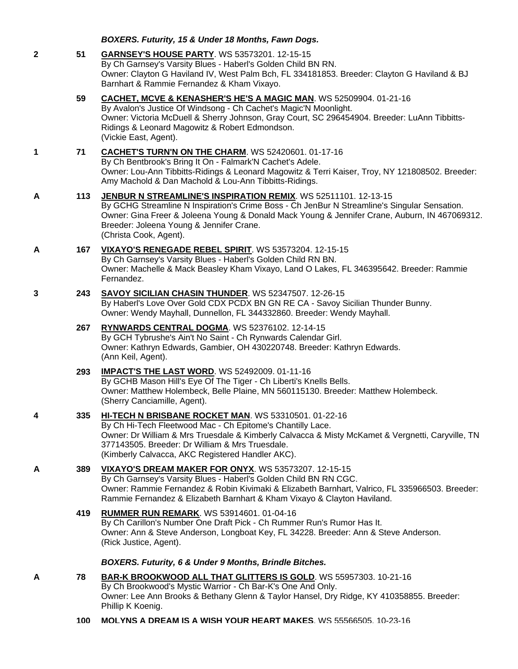|   |     | BOXERS. Futurity, 15 & Under 18 Months, Fawn Dogs.                                                                                                                                                                                                                                                                                    |
|---|-----|---------------------------------------------------------------------------------------------------------------------------------------------------------------------------------------------------------------------------------------------------------------------------------------------------------------------------------------|
| 2 | 51  | <b>GARNSEY'S HOUSE PARTY.</b> WS 53573201. 12-15-15<br>By Ch Garnsey's Varsity Blues - Haberl's Golden Child BN RN.<br>Owner: Clayton G Haviland IV, West Palm Bch, FL 334181853. Breeder: Clayton G Haviland & BJ<br>Barnhart & Rammie Fernandez & Kham Vixayo.                                                                      |
|   | 59  | CACHET, MCVE & KENASHER'S HE'S A MAGIC MAN. WS 52509904. 01-21-16<br>By Avalon's Justice Of Windsong - Ch Cachet's Magic'N Moonlight.<br>Owner: Victoria McDuell & Sherry Johnson, Gray Court, SC 296454904. Breeder: LuAnn Tibbitts-<br>Ridings & Leonard Magowitz & Robert Edmondson.<br>(Vickie East, Agent).                      |
| 1 | 71  | CACHET'S TURN'N ON THE CHARM. WS 52420601. 01-17-16<br>By Ch Bentbrook's Bring It On - Falmark'N Cachet's Adele.<br>Owner: Lou-Ann Tibbitts-Ridings & Leonard Magowitz & Terri Kaiser, Troy, NY 121808502. Breeder:<br>Amy Machold & Dan Machold & Lou-Ann Tibbitts-Ridings.                                                          |
| A | 113 | JENBUR N STREAMLINE'S INSPIRATION REMIX. WS 52511101. 12-13-15<br>By GCHG Streamline N Inspiration's Crime Boss - Ch JenBur N Streamline's Singular Sensation.<br>Owner: Gina Freer & Joleena Young & Donald Mack Young & Jennifer Crane, Auburn, IN 467069312.<br>Breeder: Joleena Young & Jennifer Crane.<br>(Christa Cook, Agent). |
| A | 167 | VIXAYO'S RENEGADE REBEL SPIRIT. WS 53573204. 12-15-15<br>By Ch Garnsey's Varsity Blues - Haberl's Golden Child RN BN.<br>Owner: Machelle & Mack Beasley Kham Vixayo, Land O Lakes, FL 346395642. Breeder: Rammie<br>Fernandez.                                                                                                        |
| 3 | 243 | SAVOY SICILIAN CHASIN THUNDER. WS 52347507. 12-26-15<br>By Haberl's Love Over Gold CDX PCDX BN GN RE CA - Savoy Sicilian Thunder Bunny.<br>Owner: Wendy Mayhall, Dunnellon, FL 344332860. Breeder: Wendy Mayhall.                                                                                                                     |
|   | 267 | RYNWARDS CENTRAL DOGMA. WS 52376102. 12-14-15<br>By GCH Tybrushe's Ain't No Saint - Ch Rynwards Calendar Girl.<br>Owner: Kathryn Edwards, Gambier, OH 430220748. Breeder: Kathryn Edwards.<br>(Ann Keil, Agent).                                                                                                                      |
|   | 293 | <b>IMPACT'S THE LAST WORD. WS 52492009. 01-11-16</b><br>By GCHB Mason Hill's Eye Of The Tiger - Ch Liberti's Knells Bells.<br>Owner: Matthew Holembeck, Belle Plaine, MN 560115130. Breeder: Matthew Holembeck.<br>(Sherry Canciamille, Agent).                                                                                       |
| 4 | 335 | HI-TECH N BRISBANE ROCKET MAN. WS 53310501. 01-22-16<br>By Ch Hi-Tech Fleetwood Mac - Ch Epitome's Chantilly Lace.<br>Owner: Dr William & Mrs Truesdale & Kimberly Calvacca & Misty McKamet & Vergnetti, Caryville, TN<br>377143505. Breeder: Dr William & Mrs Truesdale.<br>(Kimberly Calvacca, AKC Registered Handler AKC).         |
| A | 389 | VIXAYO'S DREAM MAKER FOR ONYX. WS 53573207. 12-15-15<br>By Ch Garnsey's Varsity Blues - Haberl's Golden Child BN RN CGC.<br>Owner: Rammie Fernandez & Robin Kivimaki & Elizabeth Barnhart, Valrico, FL 335966503. Breeder:<br>Rammie Fernandez & Elizabeth Barnhart & Kham Vixayo & Clayton Haviland.                                 |
|   | 419 | <b>RUMMER RUN REMARK.</b> WS 53914601. 01-04-16<br>By Ch Carillon's Number One Draft Pick - Ch Rummer Run's Rumor Has It.<br>Owner: Ann & Steve Anderson, Longboat Key, FL 34228. Breeder: Ann & Steve Anderson.<br>(Rick Justice, Agent).                                                                                            |
|   |     | BOXERS. Futurity, 6 & Under 9 Months, Brindle Bitches.                                                                                                                                                                                                                                                                                |
| A | 78  | BAR-K BROOKWOOD ALL THAT GLITTERS IS GOLD. WS 55957303. 10-21-16<br>By Ch Brookwood's Mystic Warrior - Ch Bar-K's One And Only.<br>Owner: Lee Ann Brooks & Bethany Glenn & Taylor Hansel, Dry Ridge, KY 410358855. Breeder:<br>Phillip K Koenig.                                                                                      |
|   | 100 | <b>MOLYNS A DREAM IS A WISH YOUR HEART MAKES. WS 55566505, 10-23-16</b>                                                                                                                                                                                                                                                               |
|   |     |                                                                                                                                                                                                                                                                                                                                       |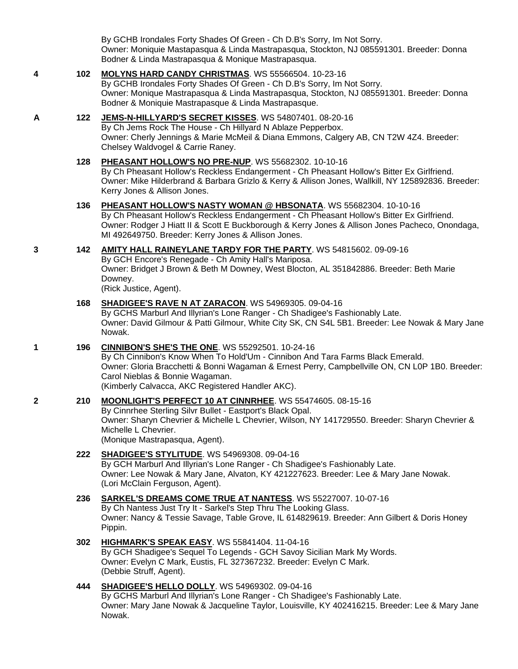By GCHB Irondales Forty Shades Of Green - Ch D.B's Sorry, Im Not Sorry. Owner: Moniquie Mastapasqua & Linda Mastrapasqua, Stockton, NJ 085591301. Breeder: Donna Bodner & Linda Mastrapasqua & Monique Mastrapasqua.

### **4 102 [MOLYNS HARD CANDY CHRISTMAS](http://infodog.com/my/drlookup2.htm?makc=WS%2055566504&mdog=Molyns+Hard+Candy+Christmas&wins=all)**. WS 55566504. 10-23-16

By GCHB Irondales Forty Shades Of Green - Ch D.B's Sorry, Im Not Sorry. Owner: Monique Mastrapasqua & Linda Mastrapasqua, Stockton, NJ 085591301. Breeder: Donna Bodner & Moniquie Mastrapasque & Linda Mastrapasque.

# **A 122 [JEMS-N-HILLYARD'S SECRET KISSES](http://infodog.com/my/drlookup2.htm?makc=WS%2054807401&mdog=Jems-N-Hillyard%27s+Secret+Kisses&wins=all)**. WS 54807401. 08-20-16

By Ch Jems Rock The House - Ch Hillyard N Ablaze Pepperbox. Owner: Cherly Jennings & Marie McMeil & Diana Emmons, Calgery AB, CN T2W 4Z4. Breeder: Chelsey Waldvogel & Carrie Raney.

### **128 [PHEASANT HOLLOW'S NO PRE-NUP](http://infodog.com/my/drlookup2.htm?makc=WS%2055682302&mdog=Pheasant+Hollow%27s+No+Pre-Nup&wins=all)**. WS 55682302. 10-10-16

By Ch Pheasant Hollow's Reckless Endangerment - Ch Pheasant Hollow's Bitter Ex Girlfriend. Owner: Mike Hilderbrand & Barbara Grizlo & Kerry & Allison Jones, Wallkill, NY 125892836. Breeder: Kerry Jones & Allison Jones.

#### **136 [PHEASANT HOLLOW'S NASTY WOMAN @ HBSONATA](http://infodog.com/my/drlookup2.htm?makc=WS%2055682304&mdog=Pheasant+Hollow%27s+Nasty+Woman+@+HBSonata&wins=all)**. WS 55682304. 10-10-16

By Ch Pheasant Hollow's Reckless Endangerment - Ch Pheasant Hollow's Bitter Ex Girlfriend. Owner: Rodger J Hiatt II & Scott E Buckborough & Kerry Jones & Allison Jones Pacheco, Onondaga, MI 492649750. Breeder: Kerry Jones & Allison Jones.

#### **3 142 [AMITY HALL RAINEYLANE TARDY FOR THE PARTY](http://infodog.com/my/drlookup2.htm?makc=WS%2054815602&mdog=Amity+Hall+Raineylane+Tardy+For+The+Party&wins=all)**. WS 54815602. 09-09-16

By GCH Encore's Renegade - Ch Amity Hall's Mariposa. Owner: Bridget J Brown & Beth M Downey, West Blocton, AL 351842886. Breeder: Beth Marie Downey.

(Rick Justice, Agent).

#### **168 [SHADIGEE'S RAVE N AT ZARACON](http://infodog.com/my/drlookup2.htm?makc=WS%2054969305&mdog=Shadigee%27s+Rave+N+At+Zaracon&wins=all)**. WS 54969305. 09-04-16

By GCHS Marburl And Illyrian's Lone Ranger - Ch Shadigee's Fashionably Late. Owner: David Gilmour & Patti Gilmour, White City SK, CN S4L 5B1. Breeder: Lee Nowak & Mary Jane Nowak.

#### **1 196 [CINNIBON'S SHE'S THE ONE](http://infodog.com/my/drlookup2.htm?makc=WS%2055292501&mdog=Cinnibon%27s+She%27s+The+One&wins=all)**. WS 55292501. 10-24-16

By Ch Cinnibon's Know When To Hold'Um - Cinnibon And Tara Farms Black Emerald. Owner: Gloria Bracchetti & Bonni Wagaman & Ernest Perry, Campbellville ON, CN L0P 1B0. Breeder: Carol Nieblas & Bonnie Wagaman. (Kimberly Calvacca, AKC Registered Handler AKC).

### **2 210 [MOONLIGHT'S PERFECT 10 AT CINNRHEE](http://infodog.com/my/drlookup2.htm?makc=WS%2055474605&mdog=Moonlight%27s+Perfect+10+At+Cinnrhee&wins=all)**. WS 55474605. 08-15-16

By Cinnrhee Sterling Silvr Bullet - Eastport's Black Opal. Owner: Sharyn Chevrier & Michelle L Chevrier, Wilson, NY 141729550. Breeder: Sharyn Chevrier & Michelle L Chevrier. (Monique Mastrapasqua, Agent).

### **222 [SHADIGEE'S STYLITUDE](http://infodog.com/my/drlookup2.htm?makc=WS%2054969308&mdog=Shadigee%27s+Stylitude&wins=all)**. WS 54969308. 09-04-16

By GCH Marburl And Illyrian's Lone Ranger - Ch Shadigee's Fashionably Late. Owner: Lee Nowak & Mary Jane, Alvaton, KY 421227623. Breeder: Lee & Mary Jane Nowak. (Lori McClain Ferguson, Agent).

### **236 [SARKEL'S DREAMS COME TRUE AT NANTESS](http://infodog.com/my/drlookup2.htm?makc=WS%2055227007&mdog=Sarkel%27s+Dreams+Come+True+At+Nantess&wins=all)**. WS 55227007. 10-07-16

By Ch Nantess Just Try It - Sarkel's Step Thru The Looking Glass. Owner: Nancy & Tessie Savage, Table Grove, IL 614829619. Breeder: Ann Gilbert & Doris Honey Pippin.

### **302 [HIGHMARK'S SPEAK EASY](http://infodog.com/my/drlookup2.htm?makc=WS%2055841404&mdog=Highmark%27s+Speak+Easy&wins=all)**. WS 55841404. 11-04-16

By GCH Shadigee's Sequel To Legends - GCH Savoy Sicilian Mark My Words. Owner: Evelyn C Mark, Eustis, FL 327367232. Breeder: Evelyn C Mark. (Debbie Struff, Agent).

#### **444 [SHADIGEE'S HELLO DOLLY](http://infodog.com/my/drlookup2.htm?makc=WS%2054969302&mdog=Shadigee%27s+Hello+Dolly&wins=all)**. WS 54969302. 09-04-16

By GCHS Marburl And Illyrian's Lone Ranger - Ch Shadigee's Fashionably Late. Owner: Mary Jane Nowak & Jacqueline Taylor, Louisville, KY 402416215. Breeder: Lee & Mary Jane Nowak.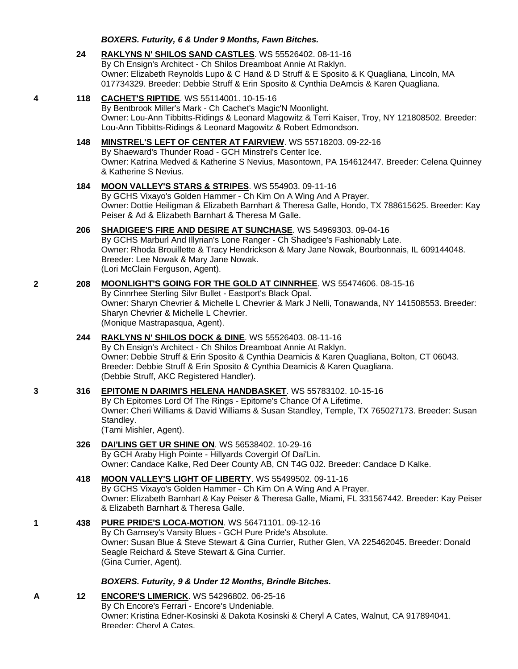#### *BOXERS. Futurity, 6 & Under 9 Months, Fawn Bitches.*

#### **24 [RAKLYNS N' SHILOS SAND CASTLES](http://infodog.com/my/drlookup2.htm?makc=WS%2055526402&mdog=Raklyns+N%27+Shilos+Sand+Castles&wins=all)**. WS 55526402. 08-11-16 By Ch Ensign's Architect - Ch Shilos Dreamboat Annie At Raklyn. Owner: Elizabeth Reynolds Lupo & C Hand & D Struff & E Sposito & K Quagliana, Lincoln, MA 017734329. Breeder: Debbie Struff & Erin Sposito & Cynthia DeAmcis & Karen Quagliana.

#### **4 118 [CACHET'S RIPTIDE](http://infodog.com/my/drlookup2.htm?makc=WS%2055114001&mdog=Cachet%27s+Riptide&wins=all)**. WS 55114001. 10-15-16 By Bentbrook Miller's Mark - Ch Cachet's Magic'N Moonlight. Owner: Lou-Ann Tibbitts-Ridings & Leonard Magowitz & Terri Kaiser, Troy, NY 121808502. Breeder: Lou-Ann Tibbitts-Ridings & Leonard Magowitz & Robert Edmondson.

#### **148 [MINSTREL'S LEFT OF CENTER AT FAIRVIEW](http://infodog.com/my/drlookup2.htm?makc=WS%2055718203&mdog=Minstrel%27s+Left+Of+Center+At+Fairview&wins=all)**. WS 55718203. 09-22-16 By Shaeward's Thunder Road - GCH Minstrel's Center Ice. Owner: Katrina Medved & Katherine S Nevius, Masontown, PA 154612447. Breeder: Celena Quinney & Katherine S Nevius.

#### **184 [MOON VALLEY'S STARS & STRIPES](http://infodog.com/my/drlookup2.htm?makc=WS%20554903&mdog=Moon+Valley%27s+Stars+&+Stripes&wins=all)**. WS 554903. 09-11-16 By GCHS Vixayo's Golden Hammer - Ch Kim On A Wing And A Prayer. Owner: Dottie Heiligman & Elizabeth Barnhart & Theresa Galle, Hondo, TX 788615625. Breeder: Kay Peiser & Ad & Elizabeth Barnhart & Theresa M Galle.

#### **206 [SHADIGEE'S FIRE AND DESIRE AT SUNCHASE](http://infodog.com/my/drlookup2.htm?makc=WS%2054969303&mdog=Shadigee%27s+Fire+And+Desire+At+Sunchase&wins=all)**. WS 54969303. 09-04-16 By GCHS Marburl And Illyrian's Lone Ranger - Ch Shadigee's Fashionably Late. Owner: Rhoda Brouillette & Tracy Hendrickson & Mary Jane Nowak, Bourbonnais, IL 609144048. Breeder: Lee Nowak & Mary Jane Nowak. (Lori McClain Ferguson, Agent).

#### **2 208 [MOONLIGHT'S GOING FOR THE GOLD AT CINNRHEE](http://infodog.com/my/drlookup2.htm?makc=WS%2055474606&mdog=Moonlight%27s+Going+For+The+Gold+At+Cinnrhee&wins=all)**. WS 55474606. 08-15-16 By Cinnrhee Sterling Silvr Bullet - Eastport's Black Opal. Owner: Sharyn Chevrier & Michelle L Chevrier & Mark J Nelli, Tonawanda, NY 141508553. Breeder: Sharyn Chevrier & Michelle L Chevrier. (Monique Mastrapasqua, Agent).

# **244 [RAKLYNS N' SHILOS DOCK & DINE](http://infodog.com/my/drlookup2.htm?makc=WS%2055526403&mdog=Raklyns+N%27+Shilos+Dock+&+Dine&wins=all)**. WS 55526403. 08-11-16 By Ch Ensign's Architect - Ch Shilos Dreamboat Annie At Raklyn. Owner: Debbie Struff & Erin Sposito & Cynthia Deamicis & Karen Quagliana, Bolton, CT 06043. Breeder: Debbie Struff & Erin Sposito & Cynthia Deamicis & Karen Quagliana. (Debbie Struff, AKC Registered Handler).

#### **3 316 [EPITOME N DARIMI'S HELENA HANDBASKET](http://infodog.com/my/drlookup2.htm?makc=WS%2055783102&mdog=Epitome+N+DaRimi%27s+Helena+Handbasket&wins=all)**. WS 55783102. 10-15-16 By Ch Epitomes Lord Of The Rings - Epitome's Chance Of A Lifetime. Owner: Cheri Williams & David Williams & Susan Standley, Temple, TX 765027173. Breeder: Susan Standley. (Tami Mishler, Agent).

### **326 [DAI'LINS GET UR SHINE ON](http://infodog.com/my/drlookup2.htm?makc=WS%2056538402&mdog=Dai%27Lins+Get+Ur+Shine+On&wins=all)**. WS 56538402. 10-29-16 By GCH Araby High Pointe - Hillyards Covergirl Of Dai'Lin. Owner: Candace Kalke, Red Deer County AB, CN T4G 0J2. Breeder: Candace D Kalke.

# **418 [MOON VALLEY'S LIGHT OF LIBERTY](http://infodog.com/my/drlookup2.htm?makc=WS%2055499502&mdog=Moon+Valley%27s+Light+Of+Liberty&wins=all)**. WS 55499502. 09-11-16 By GCHS Vixayo's Golden Hammer - Ch Kim On A Wing And A Prayer. Owner: Elizabeth Barnhart & Kay Peiser & Theresa Galle, Miami, FL 331567442. Breeder: Kay Peiser & Elizabeth Barnhart & Theresa Galle.

### **1 438 [PURE PRIDE'S LOCA-MOTION](http://infodog.com/my/drlookup2.htm?makc=WS%2056471101&mdog=Pure+Pride%27s+Loca-Motion&wins=all)**. WS 56471101. 09-12-16 By Ch Garnsey's Varsity Blues - GCH Pure Pride's Absolute. Owner: Susan Blue & Steve Stewart & Gina Currier, Ruther Glen, VA 225462045. Breeder: Donald Seagle Reichard & Steve Stewart & Gina Currier. (Gina Currier, Agent).

# *BOXERS. Futurity, 9 & Under 12 Months, Brindle Bitches.*

**A 12 [ENCORE'S LIMERICK](http://infodog.com/my/drlookup2.htm?makc=WS%2054296802&mdog=Encore%27s+Limerick&wins=all)**. WS 54296802. 06-25-16 By Ch Encore's Ferrari - Encore's Undeniable. Owner: Kristina Edner-Kosinski & Dakota Kosinski & Cheryl A Cates, Walnut, CA 917894041. Breeder: Cheryl A Cates.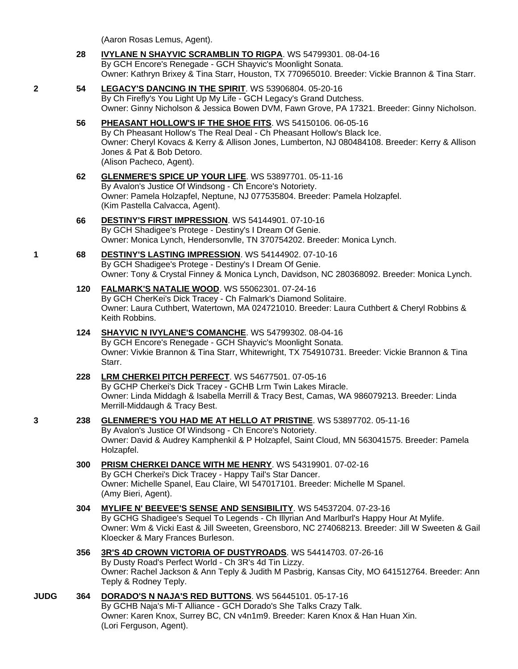(Aaron Rosas Lemus, Agent).

- **28 [IVYLANE N SHAYVIC SCRAMBLIN TO RIGPA](http://infodog.com/my/drlookup2.htm?makc=WS%2054799301&mdog=Ivylane+N+Shayvic+Scramblin+To+Rigpa&wins=all)**. WS 54799301. 08-04-16 By GCH Encore's Renegade - GCH Shayvic's Moonlight Sonata. Owner: Kathryn Brixey & Tina Starr, Houston, TX 770965010. Breeder: Vickie Brannon & Tina Starr.
- **2 54 [LEGACY'S DANCING IN THE SPIRIT](http://infodog.com/my/drlookup2.htm?makc=WS%2053906804&mdog=Legacy%27s+Dancing+In+The+Spirit&wins=all)**. WS 53906804. 05-20-16 By Ch Firefly's You Light Up My Life - GCH Legacy's Grand Dutchess. Owner: Ginny Nicholson & Jessica Bowen DVM, Fawn Grove, PA 17321. Breeder: Ginny Nicholson.
	- **56 [PHEASANT HOLLOW'S IF THE SHOE FITS](http://infodog.com/my/drlookup2.htm?makc=WS%2054150106&mdog=Pheasant+Hollow%27s+If+The+Shoe+Fits&wins=all)**. WS 54150106. 06-05-16 By Ch Pheasant Hollow's The Real Deal - Ch Pheasant Hollow's Black Ice. Owner: Cheryl Kovacs & Kerry & Allison Jones, Lumberton, NJ 080484108. Breeder: Kerry & Allison Jones & Pat & Bob Detoro. (Alison Pacheco, Agent).
	- **62 [GLENMERE'S SPICE UP YOUR LIFE](http://infodog.com/my/drlookup2.htm?makc=WS%2053897701&mdog=Glenmere%27s+Spice+Up+Your+Life&wins=all)**. WS 53897701. 05-11-16 By Avalon's Justice Of Windsong - Ch Encore's Notoriety. Owner: Pamela Holzapfel, Neptune, NJ 077535804. Breeder: Pamela Holzapfel. (Kim Pastella Calvacca, Agent).
	- **66 [DESTINY'S FIRST IMPRESSION](http://infodog.com/my/drlookup2.htm?makc=WS%2054144901&mdog=Destiny%27s+First+Impression&wins=all)**. WS 54144901. 07-10-16 By GCH Shadigee's Protege - Destiny's I Dream Of Genie. Owner: Monica Lynch, Hendersonvlle, TN 370754202. Breeder: Monica Lynch.
- **1 68 [DESTINY'S LASTING IMPRESSION](http://infodog.com/my/drlookup2.htm?makc=WS%2054144902&mdog=Destiny%27s+Lasting+Impression&wins=all)**. WS 54144902. 07-10-16 By GCH Shadigee's Protege - Destiny's I Dream Of Genie. Owner: Tony & Crystal Finney & Monica Lynch, Davidson, NC 280368092. Breeder: Monica Lynch.
	- **120 [FALMARK'S NATALIE WOOD](http://infodog.com/my/drlookup2.htm?makc=WS%2055062301&mdog=Falmark%27s+Natalie+Wood&wins=all)**. WS 55062301. 07-24-16 By GCH CherKei's Dick Tracey - Ch Falmark's Diamond Solitaire. Owner: Laura Cuthbert, Watertown, MA 024721010. Breeder: Laura Cuthbert & Cheryl Robbins & Keith Robbins.

#### **124 [SHAYVIC N IVYLANE'S COMANCHE](http://infodog.com/my/drlookup2.htm?makc=WS%2054799302&mdog=Shayvic+N+Ivylane%27s+Comanche&wins=all)**. WS 54799302. 08-04-16 By GCH Encore's Renegade - GCH Shayvic's Moonlight Sonata. Owner: Vivkie Brannon & Tina Starr, Whitewright, TX 754910731. Breeder: Vickie Brannon & Tina Starr.

#### **228 [LRM CHERKEI PITCH PERFECT](http://infodog.com/my/drlookup2.htm?makc=WS%2054677501&mdog=Lrm+Cherkei+Pitch+Perfect&wins=all)**. WS 54677501. 07-05-16 By GCHP Cherkei's Dick Tracey - GCHB Lrm Twin Lakes Miracle. Owner: Linda Middagh & Isabella Merrill & Tracy Best, Camas, WA 986079213. Breeder: Linda Merrill-Middaugh & Tracy Best.

**3 238 [GLENMERE'S YOU HAD ME AT HELLO AT PRISTINE](http://infodog.com/my/drlookup2.htm?makc=WS%2053897702&mdog=Glenmere%27s+You+Had+Me+At+Hello+At+Pristine&wins=all)**. WS 53897702. 05-11-16 By Avalon's Justice Of Windsong - Ch Encore's Notoriety.

Owner: David & Audrey Kamphenkil & P Holzapfel, Saint Cloud, MN 563041575. Breeder: Pamela Holzapfel.

- **300 [PRISM CHERKEI DANCE WITH ME HENRY](http://infodog.com/my/drlookup2.htm?makc=WS%2054319901&mdog=Prism+Cherkei+Dance+With+Me+Henry&wins=all)**. WS 54319901. 07-02-16 By GCH Cherkei's Dick Tracey - Happy Tail's Star Dancer. Owner: Michelle Spanel, Eau Claire, WI 547017101. Breeder: Michelle M Spanel. (Amy Bieri, Agent).
- **304 [MYLIFE N' BEEVEE'S SENSE AND SENSIBILITY](http://infodog.com/my/drlookup2.htm?makc=WS%2054537204&mdog=Mylife+N%27+Beevee%27s+Sense+And+Sensibility&wins=all)**. WS 54537204. 07-23-16 By GCHG Shadigee's Sequel To Legends - Ch Illyrian And Marlburl's Happy Hour At Mylife. Owner: Wm & Vicki East & Jill Sweeten, Greensboro, NC 274068213. Breeder: Jill W Sweeten & Gail Kloecker & Mary Frances Burleson.
- **356 [3R'S 4D CROWN VICTORIA OF DUSTYROADS](http://infodog.com/my/drlookup2.htm?makc=WS%2054414703&mdog=3R%27s+4D+Crown+Victoria+Of+Dustyroads&wins=all)**. WS 54414703. 07-26-16 By Dusty Road's Perfect World - Ch 3R's 4d Tin Lizzy. Owner: Rachel Jackson & Ann Teply & Judith M Pasbrig, Kansas City, MO 641512764. Breeder: Ann Teply & Rodney Teply.
- **JUDG 364 [DORADO'S N NAJA'S RED BUTTONS](http://infodog.com/my/drlookup2.htm?makc=WS%2056445101&mdog=Dorado%27s+N+Naja%27s+Red+Buttons&wins=all)**. WS 56445101. 05-17-16 By GCHB Naja's Mi-T Alliance - GCH Dorado's She Talks Crazy Talk. Owner: Karen Knox, Surrey BC, CN v4n1m9. Breeder: Karen Knox & Han Huan Xin. (Lori Ferguson, Agent).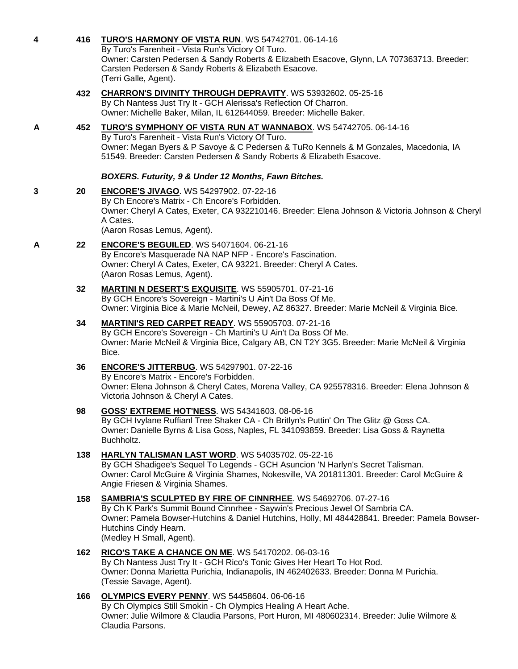|   |     | By Turo's Farenheit - Vista Run's Victory Of Turo.<br>Owner: Carsten Pedersen & Sandy Roberts & Elizabeth Esacove, Glynn, LA 707363713. Breeder:<br>Carsten Pedersen & Sandy Roberts & Elizabeth Esacove.<br>(Terri Galle, Agent).                                                                          |
|---|-----|-------------------------------------------------------------------------------------------------------------------------------------------------------------------------------------------------------------------------------------------------------------------------------------------------------------|
|   | 432 | <b>CHARRON'S DIVINITY THROUGH DEPRAVITY.</b> WS 53932602. 05-25-16<br>By Ch Nantess Just Try It - GCH Alerissa's Reflection Of Charron.<br>Owner: Michelle Baker, Milan, IL 612644059. Breeder: Michelle Baker.                                                                                             |
| A | 452 | TURO'S SYMPHONY OF VISTA RUN AT WANNABOX. WS 54742705. 06-14-16<br>By Turo's Farenheit - Vista Run's Victory Of Turo.<br>Owner: Megan Byers & P Savoye & C Pedersen & TuRo Kennels & M Gonzales, Macedonia, IA<br>51549. Breeder: Carsten Pedersen & Sandy Roberts & Elizabeth Esacove.                     |
|   |     | BOXERS. Futurity, 9 & Under 12 Months, Fawn Bitches.                                                                                                                                                                                                                                                        |
| 3 | 20  | <b>ENCORE'S JIVAGO. WS 54297902. 07-22-16</b><br>By Ch Encore's Matrix - Ch Encore's Forbidden.<br>Owner: Cheryl A Cates, Exeter, CA 932210146. Breeder: Elena Johnson & Victoria Johnson & Cheryl<br>A Cates.<br>(Aaron Rosas Lemus, Agent).                                                               |
| A | 22  | <b>ENCORE'S BEGUILED.</b> WS 54071604. 06-21-16<br>By Encore's Masquerade NA NAP NFP - Encore's Fascination.<br>Owner: Cheryl A Cates, Exeter, CA 93221. Breeder: Cheryl A Cates.<br>(Aaron Rosas Lemus, Agent).                                                                                            |
|   | 32  | <b>MARTINI N DESERT'S EXQUISITE. WS 55905701. 07-21-16</b><br>By GCH Encore's Sovereign - Martini's U Ain't Da Boss Of Me.<br>Owner: Virginia Bice & Marie McNeil, Dewey, AZ 86327. Breeder: Marie McNeil & Virginia Bice.                                                                                  |
|   | 34  | <b>MARTINI'S RED CARPET READY.</b> WS 55905703. 07-21-16<br>By GCH Encore's Sovereign - Ch Martini's U Ain't Da Boss Of Me.<br>Owner: Marie McNeil & Virginia Bice, Calgary AB, CN T2Y 3G5. Breeder: Marie McNeil & Virginia<br>Bice.                                                                       |
|   | 36  | <b>ENCORE'S JITTERBUG. WS 54297901. 07-22-16</b><br>By Encore's Matrix - Encore's Forbidden.<br>Owner: Elena Johnson & Cheryl Cates, Morena Valley, CA 925578316. Breeder: Elena Johnson &<br>Victoria Johnson & Cheryl A Cates.                                                                            |
|   | 98  | <b>GOSS' EXTREME HOT'NESS.</b> WS 54341603. 08-06-16<br>By GCH Ivylane Ruffianl Tree Shaker CA - Ch Britlyn's Puttin' On The Glitz @ Goss CA.<br>Owner: Danielle Byrns & Lisa Goss, Naples, FL 341093859. Breeder: Lisa Goss & Raynetta<br>Buchholtz.                                                       |
|   | 138 | HARLYN TALISMAN LAST WORD. WS 54035702. 05-22-16<br>By GCH Shadigee's Sequel To Legends - GCH Asuncion 'N Harlyn's Secret Talisman.<br>Owner: Carol McGuire & Virginia Shames, Nokesville, VA 201811301. Breeder: Carol McGuire &<br>Angie Friesen & Virginia Shames.                                       |
|   | 158 | <b>SAMBRIA'S SCULPTED BY FIRE OF CINNRHEE. WS 54692706. 07-27-16</b><br>By Ch K Park's Summit Bound Cinnrhee - Saywin's Precious Jewel Of Sambria CA.<br>Owner: Pamela Bowser-Hutchins & Daniel Hutchins, Holly, MI 484428841. Breeder: Pamela Bowser-<br>Hutchins Cindy Hearn.<br>(Medley H Small, Agent). |
|   | 162 | RICO'S TAKE A CHANCE ON ME. WS 54170202. 06-03-16<br>By Ch Nantess Just Try It - GCH Rico's Tonic Gives Her Heart To Hot Rod.<br>Owner: Donna Marietta Purichia, Indianapolis, IN 462402633. Breeder: Donna M Purichia.<br>(Tessie Savage, Agent).                                                          |
|   | 166 | <b>OLYMPICS EVERY PENNY.</b> WS 54458604. 06-06-16<br>By Ch Olympics Still Smokin - Ch Olympics Healing A Heart Ache.<br>Owner: Julie Wilmore & Claudia Parsons, Port Huron, MI 480602314. Breeder: Julie Wilmore &<br>Claudia Parsons.                                                                     |

**4 416 [TURO'S HARMONY OF VISTA RUN](http://infodog.com/my/drlookup2.htm?makc=WS%2054742701&mdog=Turo%27s+Harmony+Of+Vista+Run&wins=all)**. WS 54742701. 06-14-16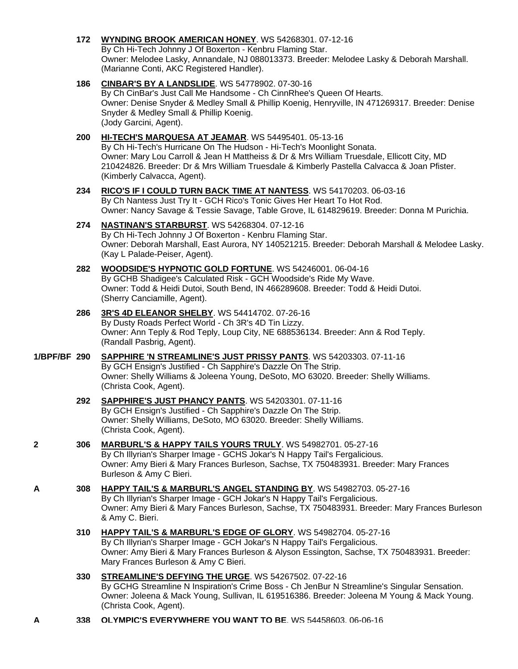### **172 [WYNDING BROOK AMERICAN HONEY](http://infodog.com/my/drlookup2.htm?makc=WS%2054268301&mdog=Wynding+Brook+American+Honey&wins=all)**. WS 54268301. 07-12-16

By Ch Hi-Tech Johnny J Of Boxerton - Kenbru Flaming Star. Owner: Melodee Lasky, Annandale, NJ 088013373. Breeder: Melodee Lasky & Deborah Marshall. (Marianne Conti, AKC Registered Handler).

### **186 [CINBAR'S BY A LANDSLIDE](http://infodog.com/my/drlookup2.htm?makc=WS%2054778902&mdog=CinBar%27s+By+A+Landslide&wins=all)**. WS 54778902. 07-30-16

By Ch CinBar's Just Call Me Handsome - Ch CinnRhee's Queen Of Hearts. Owner: Denise Snyder & Medley Small & Phillip Koenig, Henryville, IN 471269317. Breeder: Denise Snyder & Medley Small & Phillip Koenig. (Jody Garcini, Agent).

#### **200 [HI-TECH'S MARQUESA AT JEAMAR](http://infodog.com/my/drlookup2.htm?makc=WS%2054495401&mdog=Hi-Tech%27s+Marquesa+At+Jeamar&wins=all)**. WS 54495401. 05-13-16

By Ch Hi-Tech's Hurricane On The Hudson - Hi-Tech's Moonlight Sonata. Owner: Mary Lou Carroll & Jean H Mattheiss & Dr & Mrs William Truesdale, Ellicott City, MD 210424826. Breeder: Dr & Mrs William Truesdale & Kimberly Pastella Calvacca & Joan Pfister. (Kimberly Calvacca, Agent).

#### **234 [RICO'S IF I COULD TURN BACK TIME AT NANTESS](http://infodog.com/my/drlookup2.htm?makc=WS%2054170203&mdog=Rico%27s+If+I+Could+Turn+Back+Time+At+Nantess&wins=all)**. WS 54170203. 06-03-16 By Ch Nantess Just Try It - GCH Rico's Tonic Gives Her Heart To Hot Rod.

Owner: Nancy Savage & Tessie Savage, Table Grove, IL 614829619. Breeder: Donna M Purichia.

### **274 [NASTINAN'S STARBURST](http://infodog.com/my/drlookup2.htm?makc=WS%2054268304&mdog=Nastinan%27s+Starburst&wins=all)**. WS 54268304. 07-12-16

By Ch Hi-Tech Johnny J Of Boxerton - Kenbru Flaming Star. Owner: Deborah Marshall, East Aurora, NY 140521215. Breeder: Deborah Marshall & Melodee Lasky. (Kay L Palade-Peiser, Agent).

#### **282 [WOODSIDE'S HYPNOTIC GOLD FORTUNE](http://infodog.com/my/drlookup2.htm?makc=WS%2054246001&mdog=Woodside%27s+Hypnotic+Gold+Fortune&wins=all)**. WS 54246001. 06-04-16 By GCHB Shadigee's Calculated Risk - GCH Woodside's Ride My Wave. Owner: Todd & Heidi Dutoi, South Bend, IN 466289608. Breeder: Todd & Heidi Dutoi. (Sherry Canciamille, Agent).

**286 [3R'S 4D ELEANOR SHELBY](http://infodog.com/my/drlookup2.htm?makc=WS%2054414702&mdog=3R%27s+4D+Eleanor+Shelby&wins=all)**. WS 54414702. 07-26-16 By Dusty Roads Perfect World - Ch 3R's 4D Tin Lizzy. Owner: Ann Teply & Rod Teply, Loup City, NE 688536134. Breeder: Ann & Rod Teply. (Randall Pasbrig, Agent).

### **1/BPF/BF 290 [SAPPHIRE 'N STREAMLINE'S JUST PRISSY PANTS](http://infodog.com/my/drlookup2.htm?makc=WS%2054203303&mdog=Sapphire+%27N+Streamline%27s+Just+Prissy+Pants&wins=all)**. WS 54203303. 07-11-16 By GCH Ensign's Justified - Ch Sapphire's Dazzle On The Strip. Owner: Shelly Williams & Joleena Young, DeSoto, MO 63020. Breeder: Shelly Williams. (Christa Cook, Agent).

#### **292 [SAPPHIRE'S JUST PHANCY PANTS](http://infodog.com/my/drlookup2.htm?makc=WS%2054203301&mdog=Sapphire%27s+Just+Phancy+Pants&wins=all)**. WS 54203301. 07-11-16 By GCH Ensign's Justified - Ch Sapphire's Dazzle On The Strip. Owner: Shelly Williams, DeSoto, MO 63020. Breeder: Shelly Williams. (Christa Cook, Agent).

#### **2 306 [MARBURL'S & HAPPY TAILS YOURS TRULY](http://infodog.com/my/drlookup2.htm?makc=WS%2054982701&mdog=Marburl%27s+&+Happy+Tails+Yours+Truly&wins=all)**. WS 54982701. 05-27-16 By Ch Illyrian's Sharper Image - GCHS Jokar's N Happy Tail's Fergalicious. Owner: Amy Bieri & Mary Frances Burleson, Sachse, TX 750483931. Breeder: Mary Frances Burleson & Amy C Bieri.

# **A 308 [HAPPY TAIL'S & MARBURL'S ANGEL STANDING BY](http://infodog.com/my/drlookup2.htm?makc=WS%2054982703&mdog=Happy+Tail%27s+&+Marburl%27s+Angel+Standing+By&wins=all)**. WS 54982703. 05-27-16 By Ch Illyrian's Sharper Image - GCH Jokar's N Happy Tail's Fergalicious. Owner: Amy Bieri & Mary Fances Burleson, Sachse, TX 750483931. Breeder: Mary Frances Burleson & Amy C. Bieri.

# **310 [HAPPY TAIL'S & MARBURL'S EDGE OF GLORY](http://infodog.com/my/drlookup2.htm?makc=WS%2054982704&mdog=Happy+Tail%27s+&+Marburl%27s+Edge+Of+Glory&wins=all)**. WS 54982704. 05-27-16 By Ch Illyrian's Sharper Image - GCH Jokar's N Happy Tail's Fergalicious. Owner: Amy Bieri & Mary Frances Burleson & Alyson Essington, Sachse, TX 750483931. Breeder: Mary Frances Burleson & Amy C Bieri.

- **330 [STREAMLINE'S DEFYING THE URGE](http://infodog.com/my/drlookup2.htm?makc=WS%2054267502&mdog=Streamline%27s+Defying+The+Urge&wins=all)**. WS 54267502. 07-22-16 By GCHG Streamline N Inspiration's Crime Boss - Ch JenBur N Streamline's Singular Sensation. Owner: Joleena & Mack Young, Sullivan, IL 619516386. Breeder: Joleena M Young & Mack Young. (Christa Cook, Agent).
- **A 338 [OLYMPIC'S EVERYWHERE YOU WANT TO BE](http://infodog.com/my/drlookup2.htm?makc=WS%2054458603&mdog=Olympic%27s+Everywhere+You+Want+To+Be&wins=all)**. WS 54458603. 06-06-16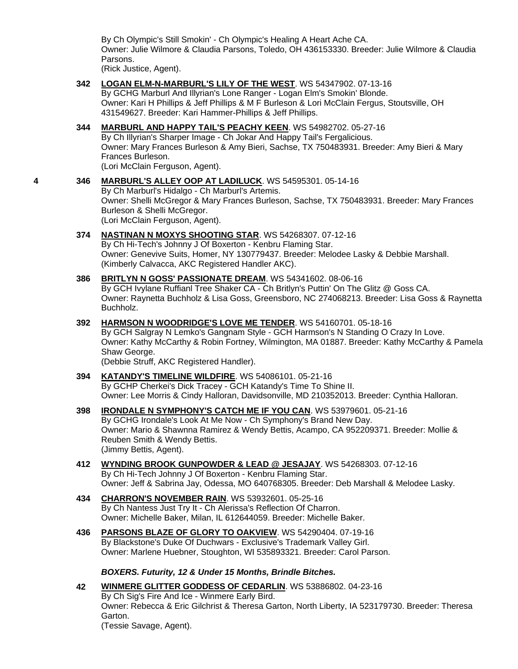By Ch Olympic's Still Smokin' - Ch Olympic's Healing A Heart Ache CA. Owner: Julie Wilmore & Claudia Parsons, Toledo, OH 436153330. Breeder: Julie Wilmore & Claudia Parsons.

(Rick Justice, Agent).

- **342 [LOGAN ELM-N-MARBURL'S LILY OF THE WEST](http://infodog.com/my/drlookup2.htm?makc=WS%2054347902&mdog=Logan+Elm-N-Marburl%27s+Lily+Of+The+West&wins=all)**. WS 54347902. 07-13-16 By GCHG Marburl And Illyrian's Lone Ranger - Logan Elm's Smokin' Blonde. Owner: Kari H Phillips & Jeff Phillips & M F Burleson & Lori McClain Fergus, Stoutsville, OH 431549627. Breeder: Kari Hammer-Phillips & Jeff Phillips.
- **344 [MARBURL AND HAPPY TAIL'S PEACHY KEEN](http://infodog.com/my/drlookup2.htm?makc=WS%2054982702&mdog=Marburl+And+Happy+Tail%27s+Peachy+Keen&wins=all)**. WS 54982702. 05-27-16 By Ch Illyrian's Sharper Image - Ch Jokar And Happy Tail's Fergalicious. Owner: Mary Frances Burleson & Amy Bieri, Sachse, TX 750483931. Breeder: Amy Bieri & Mary Frances Burleson. (Lori McClain Ferguson, Agent).
- **4 346 [MARBURL'S ALLEY OOP AT LADILUCK](http://infodog.com/my/drlookup2.htm?makc=WS%2054595301&mdog=Marburl%27s+Alley+Oop+At+LadiLuck&wins=all)**. WS 54595301. 05-14-16 By Ch Marburl's Hidalgo - Ch Marburl's Artemis. Owner: Shelli McGregor & Mary Frances Burleson, Sachse, TX 750483931. Breeder: Mary Frances Burleson & Shelli McGregor. (Lori McClain Ferguson, Agent).
	- **374 [NASTINAN N MOXYS SHOOTING STAR](http://infodog.com/my/drlookup2.htm?makc=WS%2054268307&mdog=Nastinan+N+Moxys+Shooting+Star&wins=all)**. WS 54268307. 07-12-16 By Ch Hi-Tech's Johnny J Of Boxerton - Kenbru Flaming Star. Owner: Genevive Suits, Homer, NY 130779437. Breeder: Melodee Lasky & Debbie Marshall. (Kimberly Calvacca, AKC Registered Handler AKC).
	- **386 [BRITLYN N GOSS' PASSIONATE DREAM](http://infodog.com/my/drlookup2.htm?makc=WS%2054341602&mdog=Britlyn+N+Goss%27+Passionate+Dream&wins=all)**. WS 54341602. 08-06-16 By GCH Ivylane Ruffianl Tree Shaker CA - Ch Britlyn's Puttin' On The Glitz @ Goss CA. Owner: Raynetta Buchholz & Lisa Goss, Greensboro, NC 274068213. Breeder: Lisa Goss & Raynetta Buchholz.
	- **392 [HARMSON N WOODRIDGE'S LOVE ME TENDER](http://infodog.com/my/drlookup2.htm?makc=WS%2054160701&mdog=Harmson+N+Woodridge%27s+Love+Me+Tender&wins=all)**. WS 54160701. 05-18-16 By GCH Salgray N Lemko's Gangnam Style - GCH Harmson's N Standing O Crazy In Love. Owner: Kathy McCarthy & Robin Fortney, Wilmington, MA 01887. Breeder: Kathy McCarthy & Pamela Shaw George. (Debbie Struff, AKC Registered Handler).
	- **394 [KATANDY'S TIMELINE WILDFIRE](http://infodog.com/my/drlookup2.htm?makc=WS%2054086101&mdog=Katandy%27s+Timeline+Wildfire&wins=all)**. WS 54086101. 05-21-16 By GCHP Cherkei's Dick Tracey - GCH Katandy's Time To Shine II. Owner: Lee Morris & Cindy Halloran, Davidsonville, MD 210352013. Breeder: Cynthia Halloran.
	- **398 [IRONDALE N SYMPHONY'S CATCH ME IF YOU CAN](http://infodog.com/my/drlookup2.htm?makc=WS%2053979601&mdog=Irondale+N+Symphony%27s+Catch+Me+If+You+Can&wins=all)**. WS 53979601. 05-21-16 By GCHG Irondale's Look At Me Now - Ch Symphony's Brand New Day. Owner: Mario & Shawnna Ramirez & Wendy Bettis, Acampo, CA 952209371. Breeder: Mollie & Reuben Smith & Wendy Bettis. (Jimmy Bettis, Agent).
	- **412 [WYNDING BROOK GUNPOWDER & LEAD @ JESAJAY](http://infodog.com/my/drlookup2.htm?makc=WS%2054268303&mdog=Wynding+Brook+Gunpowder+&+Lead+@+JeSaJay&wins=all)**. WS 54268303. 07-12-16 By Ch Hi-Tech Johnny J Of Boxerton - Kenbru Flaming Star. Owner: Jeff & Sabrina Jay, Odessa, MO 640768305. Breeder: Deb Marshall & Melodee Lasky.
	- **434 [CHARRON'S NOVEMBER RAIN](http://infodog.com/my/drlookup2.htm?makc=WS%2053932601&mdog=Charron%27s+November+Rain&wins=all)**. WS 53932601. 05-25-16 By Ch Nantess Just Try It - Ch Alerissa's Reflection Of Charron. Owner: Michelle Baker, Milan, IL 612644059. Breeder: Michelle Baker.
	- **436 [PARSONS BLAZE OF GLORY TO OAKVIEW](http://infodog.com/my/drlookup2.htm?makc=WS%2054290404&mdog=Parsons+Blaze+Of+Glory+To+Oakview&wins=all)**. WS 54290404. 07-19-16 By Blackstone's Duke Of Duchwars - Exclusive's Trademark Valley Girl. Owner: Marlene Huebner, Stoughton, WI 535893321. Breeder: Carol Parson.

*BOXERS. Futurity, 12 & Under 15 Months, Brindle Bitches.*

**42 [WINMERE GLITTER GODDESS OF CEDARLIN](http://infodog.com/my/drlookup2.htm?makc=WS%2053886802&mdog=Winmere+Glitter+Goddess+Of+Cedarlin&wins=all)**. WS 53886802. 04-23-16 By Ch Sig's Fire And Ice - Winmere Early Bird. Owner: Rebecca & Eric Gilchrist & Theresa Garton, North Liberty, IA 523179730. Breeder: Theresa Garton. (Tessie Savage, Agent).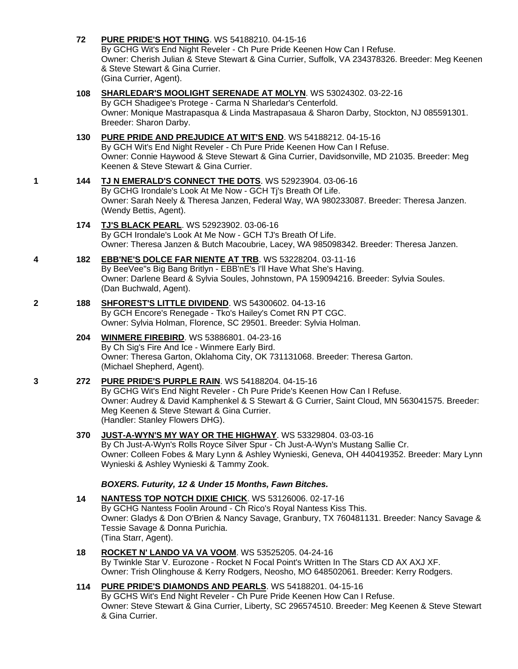**72 [PURE PRIDE'S HOT THING](http://infodog.com/my/drlookup2.htm?makc=WS%2054188210&mdog=Pure+Pride%27s+Hot+Thing&wins=all)**. WS 54188210. 04-15-16

By GCHG Wit's End Night Reveler - Ch Pure Pride Keenen How Can I Refuse. Owner: Cherish Julian & Steve Stewart & Gina Currier, Suffolk, VA 234378326. Breeder: Meg Keenen & Steve Stewart & Gina Currier. (Gina Currier, Agent).

### **108 [SHARLEDAR'S MOOLIGHT SERENADE AT MOLYN](http://infodog.com/my/drlookup2.htm?makc=WS%2053024302&mdog=Sharledar%27s+Moolight+Serenade+At+Molyn&wins=all)**. WS 53024302. 03-22-16

By GCH Shadigee's Protege - Carma N Sharledar's Centerfold. Owner: Monique Mastrapasqua & Linda Mastrapasaua & Sharon Darby, Stockton, NJ 085591301. Breeder: Sharon Darby.

## **130 [PURE PRIDE AND PREJUDICE AT WIT'S END](http://infodog.com/my/drlookup2.htm?makc=WS%2054188212&mdog=Pure+Pride+And+Prejudice+At+Wit%27s+End&wins=all)**. WS 54188212. 04-15-16

By GCH Wit's End Night Reveler - Ch Pure Pride Keenen How Can I Refuse. Owner: Connie Haywood & Steve Stewart & Gina Currier, Davidsonville, MD 21035. Breeder: Meg Keenen & Steve Stewart & Gina Currier.

### **1 144 [TJ N EMERALD'S CONNECT THE DOTS](http://infodog.com/my/drlookup2.htm?makc=WS%2052923904&mdog=TJ+N+Emerald%27s+Connect+The+Dots&wins=all)**. WS 52923904. 03-06-16 By GCHG Irondale's Look At Me Now - GCH Tj's Breath Of Life.

Owner: Sarah Neely & Theresa Janzen, Federal Way, WA 980233087. Breeder: Theresa Janzen. (Wendy Bettis, Agent).

#### **174 [TJ'S BLACK PEARL](http://infodog.com/my/drlookup2.htm?makc=WS%2052923902&mdog=TJ%27s+Black+Pearl&wins=all)**. WS 52923902. 03-06-16 By GCH Irondale's Look At Me Now - GCH TJ's Breath Of Life. Owner: Theresa Janzen & Butch Macoubrie, Lacey, WA 985098342. Breeder: Theresa Janzen.

# **4 182 [EBB'NE'S DOLCE FAR NIENTE AT TRB](http://infodog.com/my/drlookup2.htm?makc=WS%2053228204&mdog=EBB%27nE%27s+Dolce+Far+Niente+At+TRB&wins=all)**. WS 53228204. 03-11-16 By BeeVee"s Big Bang Britlyn - EBB'nE's I'll Have What She's Having.

Owner: Darlene Beard & Sylvia Soules, Johnstown, PA 159094216. Breeder: Sylvia Soules. (Dan Buchwald, Agent).

#### **2 188 [SHFOREST'S LITTLE DIVIDEND](http://infodog.com/my/drlookup2.htm?makc=WS%2054300602&mdog=Shforest%27s+Little+Dividend&wins=all)**. WS 54300602. 04-13-16 By GCH Encore's Renegade - Tko's Hailey's Comet RN PT CGC. Owner: Sylvia Holman, Florence, SC 29501. Breeder: Sylvia Holman.

### **204 [WINMERE FIREBIRD](http://infodog.com/my/drlookup2.htm?makc=WS%2053886801&mdog=Winmere+Firebird&wins=all)**. WS 53886801. 04-23-16 By Ch Sig's Fire And Ice - Winmere Early Bird. Owner: Theresa Garton, Oklahoma City, OK 731131068. Breeder: Theresa Garton. (Michael Shepherd, Agent).

# **3 272 [PURE PRIDE'S PURPLE RAIN](http://infodog.com/my/drlookup2.htm?makc=WS%2054188204&mdog=Pure+Pride%27s+Purple+Rain&wins=all)**. WS 54188204. 04-15-16

By GCHG Wit's End Night Reveler - Ch Pure Pride's Keenen How Can I Refuse. Owner: Audrey & David Kamphenkel & S Stewart & G Currier, Saint Cloud, MN 563041575. Breeder: Meg Keenen & Steve Stewart & Gina Currier. (Handler: Stanley Flowers DHG).

# **370 [JUST-A-WYN'S MY WAY OR THE HIGHWAY](http://infodog.com/my/drlookup2.htm?makc=WS%2053329804&mdog=Just-A-Wyn%27s+My+Way+Or+The+Highway&wins=all)**. WS 53329804. 03-03-16

By Ch Just-A-Wyn's Rolls Royce Silver Spur - Ch Just-A-Wyn's Mustang Sallie Cr. Owner: Colleen Fobes & Mary Lynn & Ashley Wynieski, Geneva, OH 440419352. Breeder: Mary Lynn Wynieski & Ashley Wynieski & Tammy Zook.

# *BOXERS. Futurity, 12 & Under 15 Months, Fawn Bitches.*

### **14 [NANTESS TOP NOTCH DIXIE CHICK](http://infodog.com/my/drlookup2.htm?makc=WS%2053126006&mdog=Nantess+Top+Notch+Dixie+Chick&wins=all)**. WS 53126006. 02-17-16 By GCHG Nantess Foolin Around - Ch Rico's Royal Nantess Kiss This. Owner: Gladys & Don O'Brien & Nancy Savage, Granbury, TX 760481131. Breeder: Nancy Savage & Tessie Savage & Donna Purichia. (Tina Starr, Agent).

#### **18 [ROCKET N' LANDO VA VA VOOM](http://infodog.com/my/drlookup2.htm?makc=WS%2053525205&mdog=Rocket+N%27+Lando+Va+Va+Voom&wins=all)**. WS 53525205. 04-24-16 By Twinkle Star V. Eurozone - Rocket N Focal Point's Written In The Stars CD AX AXJ XF. Owner: Trish Olinghouse & Kerry Rodgers, Neosho, MO 648502061. Breeder: Kerry Rodgers.

#### **114 [PURE PRIDE'S DIAMONDS AND PEARLS](http://infodog.com/my/drlookup2.htm?makc=WS%2054188201&mdog=Pure+Pride%27s+Diamonds+And+Pearls&wins=all)**. WS 54188201. 04-15-16 By GCHS Wit's End Night Reveler - Ch Pure Pride Keenen How Can I Refuse. Owner: Steve Stewart & Gina Currier, Liberty, SC 296574510. Breeder: Meg Keenen & Steve Stewart & Gina Currier.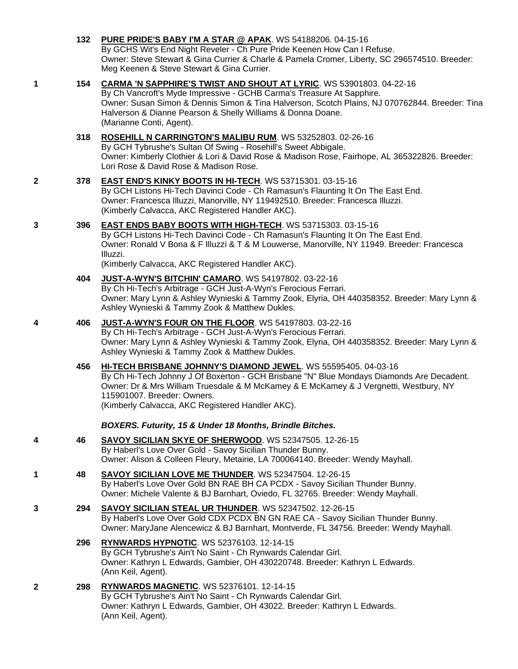|   | 132 | <b>PURE PRIDE'S BABY I'M A STAR @ APAK.</b> WS 54188206. 04-15-16<br>By GCHS Wit's End Night Reveler - Ch Pure Pride Keenen How Can I Refuse.<br>Owner: Steve Stewart & Gina Currier & Charle & Pamela Cromer, Liberty, SC 296574510. Breeder:<br>Meg Keenen & Steve Stewart & Gina Currier.                                              |
|---|-----|-------------------------------------------------------------------------------------------------------------------------------------------------------------------------------------------------------------------------------------------------------------------------------------------------------------------------------------------|
| 1 | 154 | CARMA 'N SAPPHIRE'S TWIST AND SHOUT AT LYRIC. WS 53901803. 04-22-16<br>By Ch Vancroft's Myde Impressive - GCHB Carma's Treasure At Sapphire.<br>Owner: Susan Simon & Dennis Simon & Tina Halverson, Scotch Plains, NJ 070762844. Breeder: Tina<br>Halverson & Dianne Pearson & Shelly Williams & Donna Doane.<br>(Marianne Conti, Agent). |
|   | 318 | ROSEHILL N CARRINGTON'S MALIBU RUM. WS 53252803. 02-26-16<br>By GCH Tybrushe's Sultan Of Swing - Rosehill's Sweet Abbigale.<br>Owner: Kimberly Clothier & Lori & David Rose & Madison Rose, Fairhope, AL 365322826. Breeder:<br>Lori Rose & David Rose & Madison Rose.                                                                    |
| 2 | 378 | <b>EAST END'S KINKY BOOTS IN HI-TECH. WS 53715301. 03-15-16</b><br>By GCH Listons Hi-Tech Davinci Code - Ch Ramasun's Flaunting It On The East End.<br>Owner: Francesca Illuzzi, Manorville, NY 119492510. Breeder: Francesca Illuzzi.<br>(Kimberly Calvacca, AKC Registered Handler AKC).                                                |
| 3 | 396 | EAST ENDS BABY BOOTS WITH HIGH-TECH. WS 53715303. 03-15-16<br>By GCH Listons Hi-Tech Davinci Code - Ch Ramasun's Flaunting It On The East End.<br>Owner: Ronald V Bona & F Illuzzi & T & M Louwerse, Manorville, NY 11949. Breeder: Francesca<br>Illuzzi.                                                                                 |
|   |     | (Kimberly Calvacca, AKC Registered Handler AKC).                                                                                                                                                                                                                                                                                          |
|   | 404 | JUST-A-WYN'S BITCHIN' CAMARO. WS 54197802. 03-22-16<br>By Ch Hi-Tech's Arbitrage - GCH Just-A-Wyn's Ferocious Ferrari.<br>Owner: Mary Lynn & Ashley Wynieski & Tammy Zook, Elyria, OH 440358352. Breeder: Mary Lynn &<br>Ashley Wynieski & Tammy Zook & Matthew Dukles.                                                                   |
| 4 | 406 | JUST-A-WYN'S FOUR ON THE FLOOR. WS 54197803. 03-22-16<br>By Ch Hi-Tech's Arbitrage - GCH Just-A-Wyn's Ferocious Ferrari.<br>Owner: Mary Lynn & Ashley Wynieski & Tammy Zook, Elyria, OH 440358352. Breeder: Mary Lynn &<br>Ashley Wynieski & Tammy Zook & Matthew Dukles.                                                                 |
|   | 456 | HI-TECH BRISBANE JOHNNY'S DIAMOND JEWEL. WS 55595405. 04-03-16<br>By Ch Hi-Tech Johnny J Of Boxerton - GCH Brisbane "N" Blue Mondays Diamonds Are Decadent.<br>Owner: Dr & Mrs William Truesdale & M McKamey & E McKamey & J Vergnetti, Westbury, NY<br>115901007. Breeder: Owners.<br>(Kimberly Calvacca, AKC Registered Handler AKC).   |
|   |     | BOXERS. Futurity, 15 & Under 18 Months, Brindle Bitches.                                                                                                                                                                                                                                                                                  |
| 4 | 46  | SAVOY SICILIAN SKYE OF SHERWOOD. WS 52347505. 12-26-15<br>By Haberl's Love Over Gold - Savoy Sicilian Thunder Bunny.<br>Owner: Alison & Colleen Fleury, Metairie, LA 700064140. Breeder: Wendy Mayhall.                                                                                                                                   |
| 1 | 48  | <b>SAVOY SICILIAN LOVE ME THUNDER. WS 52347504. 12-26-15</b><br>By Haberl's Love Over Gold BN RAE BH CA PCDX - Savoy Sicilian Thunder Bunny.<br>Owner: Michele Valente & BJ Barnhart, Oviedo, FL 32765. Breeder: Wendy Mayhall.                                                                                                           |
| 3 | 294 | <b>SAVOY SICILIAN STEAL UR THUNDER. WS 52347502. 12-26-15</b><br>By Haberl's Love Over Gold CDX PCDX BN GN RAE CA - Savoy Sicilian Thunder Bunny.<br>Owner: MaryJane Alencewicz & BJ Barnhart, Montverde, FL 34756. Breeder: Wendy Mayhall.                                                                                               |
|   | 296 | RYNWARDS HYPNOTIC. WS 52376103. 12-14-15<br>By GCH Tybrushe's Ain't No Saint - Ch Rynwards Calendar Girl.<br>Owner: Kathryn L Edwards, Gambier, OH 430220748. Breeder: Kathryn L Edwards.<br>(Ann Keil, Agent).                                                                                                                           |
| 2 | 298 | <b>RYNWARDS MAGNETIC. WS 52376101. 12-14-15</b><br>By GCH Tybrushe's Ain't No Saint - Ch Rynwards Calendar Girl.<br>Owner: Kathryn L Edwards, Gambier, OH 43022. Breeder: Kathryn L Edwards.<br>(Ann Keil, Agent).                                                                                                                        |